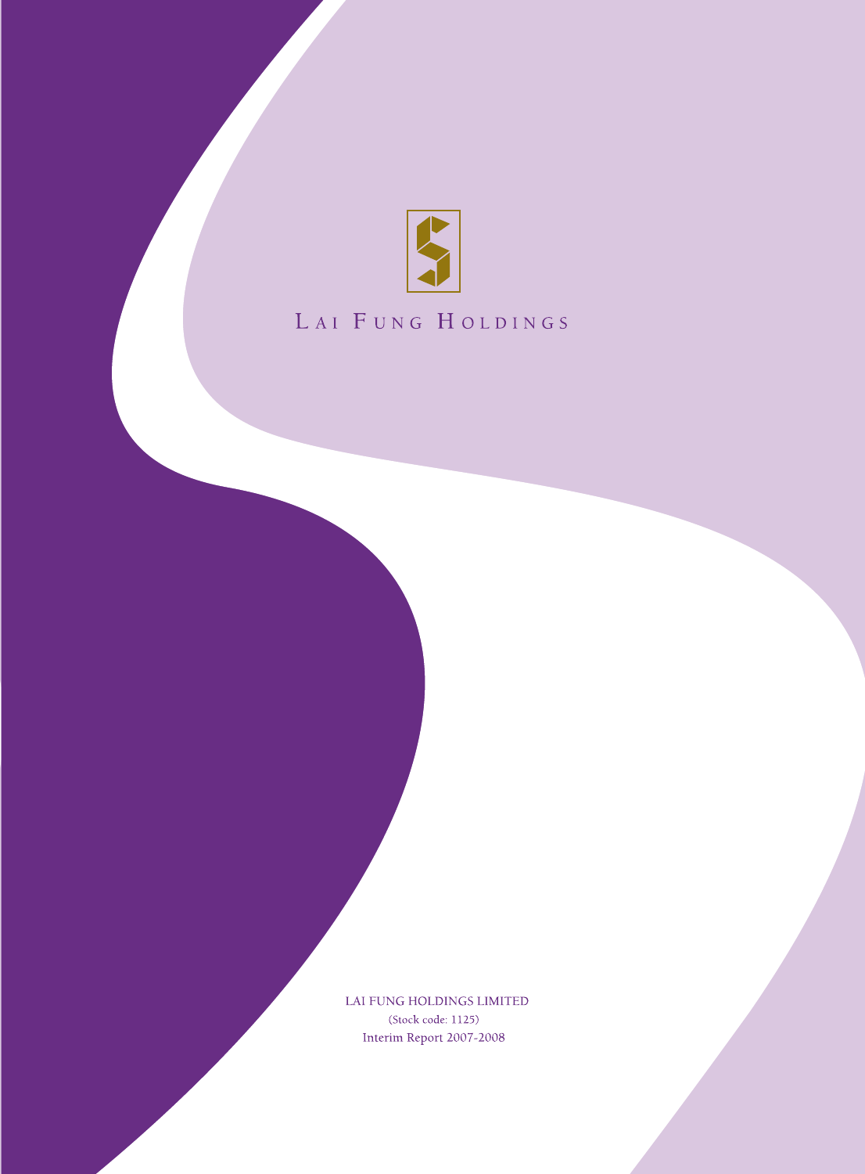

# LAI FUNG HOLDINGS

LAI FUNG HOLDINGS LIMITED (Stock code: 1125) Interim Report 2007-2008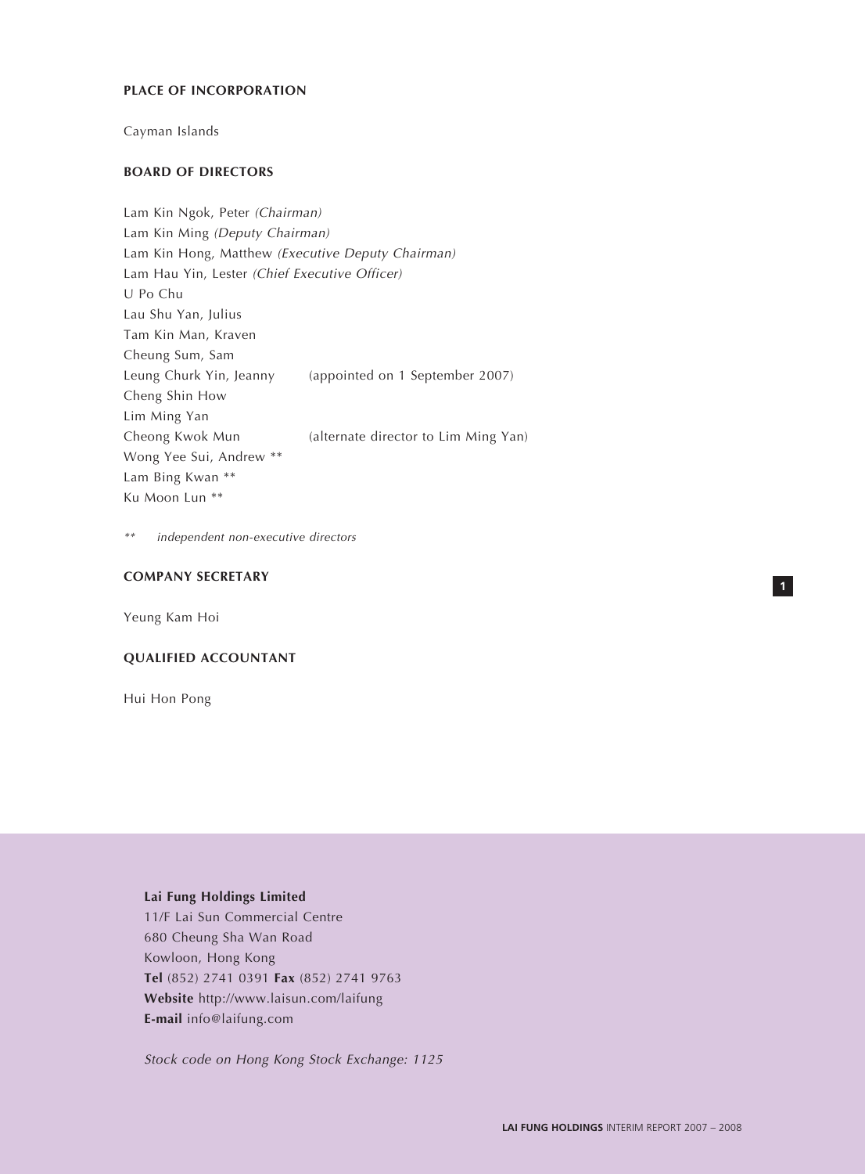## **PLACE OF INCORPORATION**

Cayman Islands

# **BOARD OF DIRECTORS**

Lam Kin Ngok, Peter (Chairman) Lam Kin Ming (Deputy Chairman) Lam Kin Hong, Matthew (Executive Deputy Chairman) Lam Hau Yin, Lester (Chief Executive Officer) U Po Chu Lau Shu Yan, Julius Tam Kin Man, Kraven Cheung Sum, Sam Leung Churk Yin, Jeanny (appointed on 1 September 2007) Cheng Shin How Lim Ming Yan Cheong Kwok Mun (alternate director to Lim Ming Yan) Wong Yee Sui, Andrew \*\* Lam Bing Kwan \*\* Ku Moon Lun \*\*

\*\*independent non-executive directors

# **COMPANY SECRETARY**

Yeung Kam Hoi

#### **QUALIFIED ACCOUNTANT**

Hui Hon Pong

# **Lai Fung Holdings Limited**

11/F Lai Sun Commercial Centre 680 Cheung Sha Wan Road Kowloon, Hong Kong **Tel** (852) 2741 0391 **Fax** (852) 2741 9763 **Website** http://www.laisun.com/laifung **E-mail** info@laifung.com

Stock code on Hong Kong Stock Exchange: 1125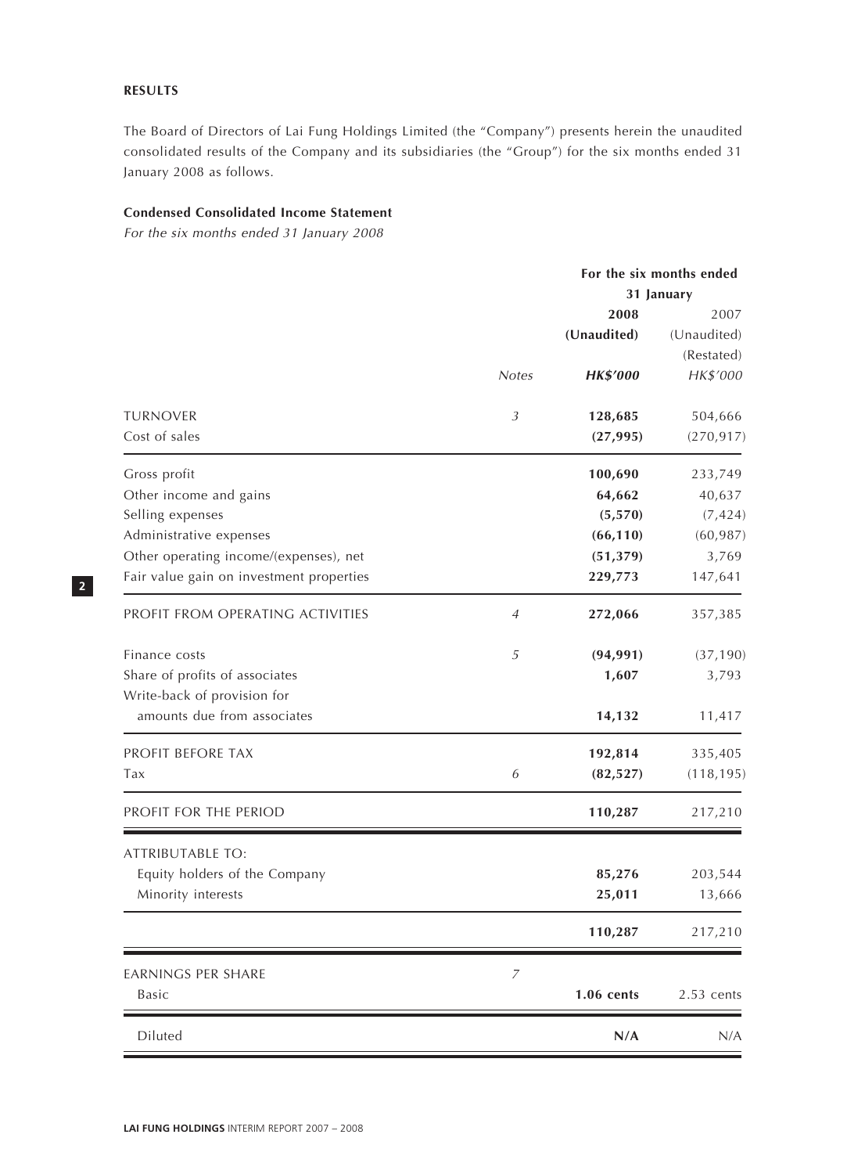# **RESULTS**

The Board of Directors of Lai Fung Holdings Limited (the "Company") presents herein the unaudited consolidated results of the Company and its subsidiaries (the "Group") for the six months ended 31 January 2008 as follows.

# **Condensed Consolidated Income Statement**

For the six months ended 31 January 2008

|                | For the six months ended |                                                                                                       |  |
|----------------|--------------------------|-------------------------------------------------------------------------------------------------------|--|
|                |                          | 31 January                                                                                            |  |
|                | 2008                     | 2007                                                                                                  |  |
|                |                          | (Unaudited)                                                                                           |  |
|                |                          | (Restated)                                                                                            |  |
| <b>Notes</b>   | <b>HK\$'000</b>          | HK\$'000                                                                                              |  |
|                |                          |                                                                                                       |  |
|                |                          | 504,666                                                                                               |  |
|                |                          | (270, 917)                                                                                            |  |
|                | 100,690                  | 233,749                                                                                               |  |
|                | 64,662                   | 40,637                                                                                                |  |
|                | (5, 570)                 | (7, 424)                                                                                              |  |
|                | (66, 110)                | (60, 987)                                                                                             |  |
|                |                          | 3,769                                                                                                 |  |
|                | 229,773                  | 147,641                                                                                               |  |
| 4              | 272,066                  | 357,385                                                                                               |  |
|                |                          | (37, 190)                                                                                             |  |
|                |                          | 3,793                                                                                                 |  |
|                |                          |                                                                                                       |  |
|                | 14,132                   | 11,417                                                                                                |  |
|                |                          | 335,405                                                                                               |  |
| 6              | (82, 527)                | (118, 195)                                                                                            |  |
|                | 110,287                  | 217,210                                                                                               |  |
|                |                          |                                                                                                       |  |
|                |                          | 203,544                                                                                               |  |
|                |                          | 13,666                                                                                                |  |
|                |                          |                                                                                                       |  |
|                | 110,287                  | 217,210                                                                                               |  |
| $\overline{z}$ |                          |                                                                                                       |  |
|                | 1.06 cents               | $2.53$ cents                                                                                          |  |
|                | N/A                      | N/A                                                                                                   |  |
|                | $\mathfrak{Z}$<br>5      | (Unaudited)<br>128,685<br>(27, 995)<br>(51, 379)<br>(94, 991)<br>1,607<br>192,814<br>85,276<br>25,011 |  |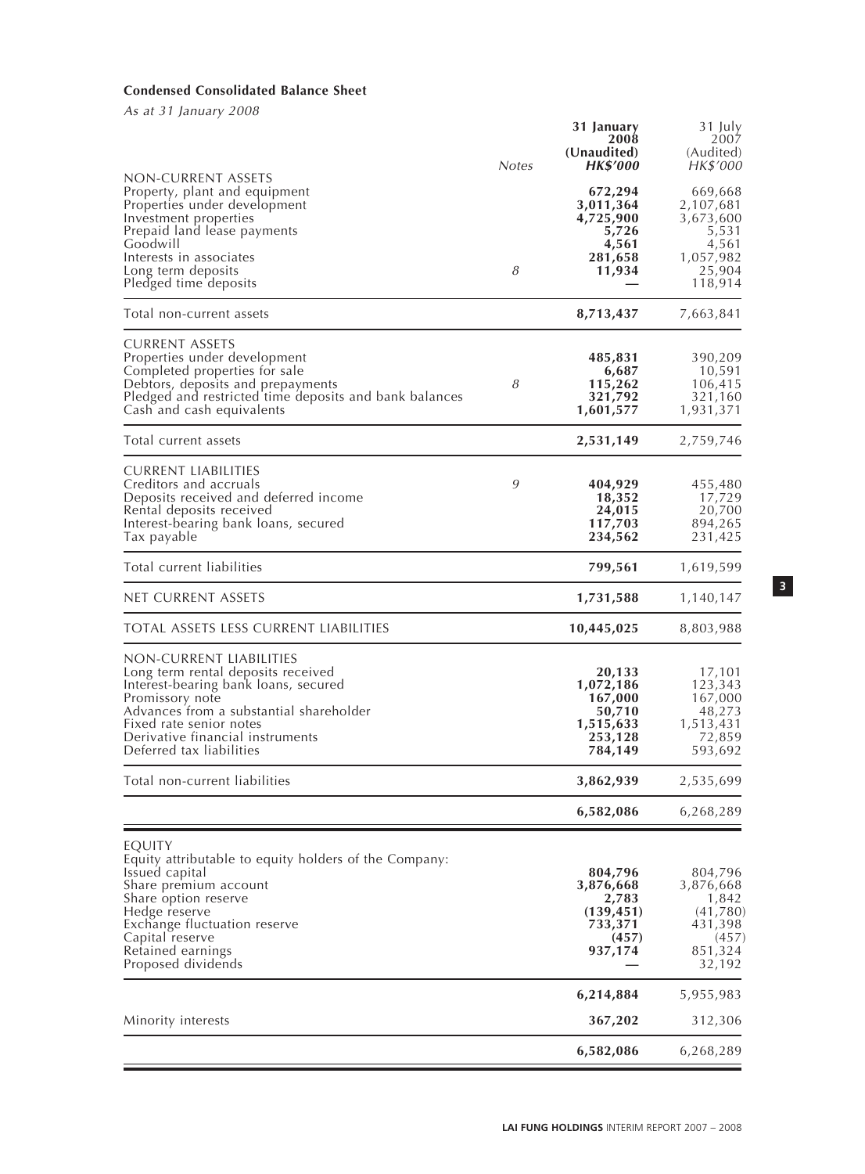# **Condensed Consolidated Balance Sheet**

As at 31 January 2008

|                                                                                                                                                                                                                                                                | <b>Notes</b> | 31 January<br>2008<br>(Unaudited)<br><b>HK\$'000</b>                        | 31 July<br>2007<br>(Audited)<br>HK\$'000                                              |
|----------------------------------------------------------------------------------------------------------------------------------------------------------------------------------------------------------------------------------------------------------------|--------------|-----------------------------------------------------------------------------|---------------------------------------------------------------------------------------|
| non-current assets<br>Property, plant and equipment<br>Properties under development<br>Investment properties<br>Prepaid land lease payments<br>Goodwill<br>Interests in associates<br>Long term deposits<br>Pledged time deposits                              | 8            | 672,294<br>3,011,364<br>4,725,900<br>5,726<br>4,561<br>281,658<br>11,934    | 669,668<br>2,107,681<br>3,673,600<br>5,531<br>4,561<br>1,057,982<br>25,904<br>118,914 |
| Total non-current assets                                                                                                                                                                                                                                       |              | 8,713,437                                                                   | 7,663,841                                                                             |
| CURRENT ASSETS<br>Properties under development<br>Completed properties for sale<br>Debtors, deposits and prepayments<br>Pledged and restricted time deposits and bank balances<br>Cash and cash equivalents                                                    | 8            | 485,831<br>6,687<br>115,262<br>321,792<br>1,601,577                         | 390,209<br>10,591<br>106,415<br>321,160<br>1,931,371                                  |
| Total current assets                                                                                                                                                                                                                                           |              | 2,531,149                                                                   | 2,759,746                                                                             |
| <b>CURRENT LIABILITIES</b><br>Creditors and accruals<br>Deposits received and deferred income<br>Rental deposits received<br>Interest-bearing bank loans, secured<br>Tax payable                                                                               | 9            | 404,929<br>18,352<br>24,015<br>117,703<br>234,562                           | 455,480<br>17,729<br>20,700<br>894,265<br>231,425                                     |
| Total current liabilities                                                                                                                                                                                                                                      |              | 799,561                                                                     | 1,619,599                                                                             |
| net current assets                                                                                                                                                                                                                                             |              | 1,731,588                                                                   | 1,140,147                                                                             |
| total assets less current liabilities                                                                                                                                                                                                                          |              | 10,445,025                                                                  | 8,803,988                                                                             |
| non-current liabilities<br>Long term rental deposits received<br>Interest-bearing bank loans, secured<br>Promissory note<br>Advances from a substantial shareholder<br>Fixed rate senior notes<br>Derivative financial instruments<br>Deferred tax liabilities |              | 20,133<br>1,072,186<br>167,000<br>50,710<br>1,515,633<br>253,128<br>784,149 | 17,101<br>123,343<br>167,000<br>48,273<br>1,513,431<br>72,859<br>593,692              |
| Total non-current liabilities                                                                                                                                                                                                                                  |              | 3,862,939                                                                   | 2,535,699                                                                             |
|                                                                                                                                                                                                                                                                |              | 6,582,086                                                                   | 6,268,289                                                                             |
| EQUITY<br>Equity attributable to equity holders of the Company:<br>Issued capital<br>Share premium account<br>Share option reserve<br>Hedge reserve<br>Exchange fluctuation reserve<br>Capital reserve<br>Retained earnings<br>Proposed dividends              |              | 804,796<br>3,876,668<br>2,783<br>(139, 451)<br>733,371<br>(457)<br>937,174  | 804,796<br>3,876,668<br>1,842<br>(41,780)<br>431,398<br>(457)<br>851,324<br>32,192    |
|                                                                                                                                                                                                                                                                |              | 6,214,884                                                                   | 5,955,983                                                                             |
| Minority interests                                                                                                                                                                                                                                             |              | 367,202                                                                     | 312,306                                                                               |
|                                                                                                                                                                                                                                                                |              | 6,582,086                                                                   | 6,268,289                                                                             |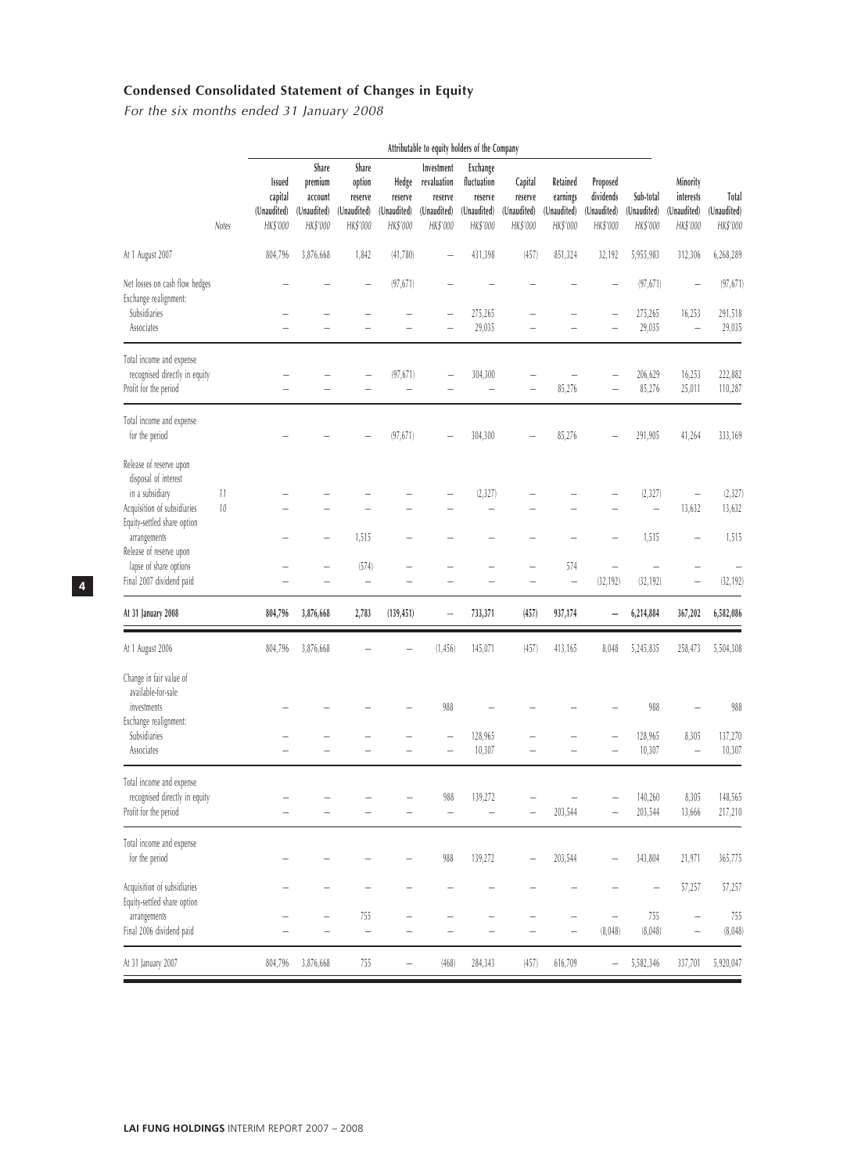# **Condensed Consolidated Statement of Changes in Equity**

For the six months ended 31 January 2008

|                                                                                                                                  |              | Attributable to equity holders of the Company       |                                                        |                                                       |                                             |                                                                 |                                                               |                                               |                                                 |                                                  |                                      |                                                      |                                  |
|----------------------------------------------------------------------------------------------------------------------------------|--------------|-----------------------------------------------------|--------------------------------------------------------|-------------------------------------------------------|---------------------------------------------|-----------------------------------------------------------------|---------------------------------------------------------------|-----------------------------------------------|-------------------------------------------------|--------------------------------------------------|--------------------------------------|------------------------------------------------------|----------------------------------|
|                                                                                                                                  | Notes        | <b>Issued</b><br>capital<br>(Unaudited)<br>HK\$'000 | Share<br>premium<br>account<br>(Unaudited)<br>HK\$'000 | Share<br>option<br>reserve<br>(Unaudited)<br>HK\$'000 | Hedge<br>reserve<br>(Unaudited)<br>HK\$'000 | Investment<br>revaluation<br>reserve<br>(Unaudited)<br>HK\$'000 | Exchange<br>fluctuation<br>reserve<br>(Unaudited)<br>HK\$'000 | Capital<br>reserve<br>(Unaudited)<br>HK\$'000 | Retained<br>earnings<br>(Unaudited)<br>HK\$'000 | Proposed<br>dividends<br>(Unaudited)<br>HK\$'000 | Sub-total<br>(Unaudited)<br>HK\$'000 | Minority<br>interests<br>(Unaudited)<br>HK\$'000     | Total<br>(Unaudited)<br>HK\$'000 |
| At 1 August 2007                                                                                                                 |              | 804,796                                             | 3,876,668                                              | 1,842                                                 | (41,780)                                    |                                                                 | 431,398                                                       | (457)                                         | 851,324                                         | 32,192                                           | 5,955,983                            | 312,306                                              | 6,268,289                        |
| Net losses on cash flow hedges<br>Exchange realignment:<br>Subsidiaries                                                          |              |                                                     |                                                        |                                                       | (97, 671)                                   |                                                                 | 275,265                                                       |                                               |                                                 |                                                  | (97, 671)<br>275,265                 | 16,253                                               | (97, 671)<br>291,518             |
| Associates                                                                                                                       |              |                                                     |                                                        |                                                       |                                             |                                                                 | 29,035                                                        |                                               |                                                 |                                                  | 29,035                               | L,                                                   | 29,035                           |
| Total income and expense<br>recognised directly in equity<br>Profit for the period                                               |              |                                                     |                                                        |                                                       | (97, 671)<br>L,                             |                                                                 | 304,300<br>$\overline{\phantom{0}}$                           |                                               | 85,276                                          |                                                  | 206,629<br>85,276                    | 16,253<br>25,011                                     | 222,882<br>110,287               |
| Total income and expense<br>for the period                                                                                       |              |                                                     |                                                        |                                                       | (97, 671)                                   |                                                                 | 304,300                                                       |                                               | 85,276                                          |                                                  | 291,905                              | 41,264                                               | 333,169                          |
| Release of reserve upon<br>disposal of interest<br>in a subsidiary<br>Acquisition of subsidiaries<br>Equity-settled share option | 11<br>$10\,$ |                                                     |                                                        |                                                       |                                             |                                                                 | (2, 327)                                                      |                                               |                                                 |                                                  | (2, 327)<br>$\overline{\phantom{0}}$ | $\overline{\phantom{0}}$<br>13,632                   | (2, 327)<br>13,632               |
| arrangements<br>Release of reserve upon                                                                                          |              |                                                     |                                                        | 1,515                                                 |                                             |                                                                 |                                                               |                                               |                                                 |                                                  | 1,515                                |                                                      | 1,515                            |
| lapse of share options<br>Final 2007 dividend paid                                                                               |              |                                                     |                                                        | (574)<br>$\overline{\phantom{0}}$                     |                                             |                                                                 |                                                               |                                               | 574<br>$\overline{\phantom{0}}$                 | (32, 192)                                        | (32, 192)                            |                                                      | (32, 192)                        |
| At 31 January 2008                                                                                                               |              | 804,796                                             | 3,876,668                                              | 2,783                                                 | (139, 451)                                  | $\qquad \qquad -$                                               | 733,371                                                       | (457)                                         | 937,174                                         | -                                                | 6,214,884                            | 367,202                                              | 6,582,086                        |
| At 1 August 2006                                                                                                                 |              | 804,796                                             | 3,876,668                                              |                                                       |                                             | (1, 456)                                                        | 145,071                                                       | (457)                                         | 413,165                                         | 8,048                                            | 5,245,835                            | 258,473                                              | 5,504,308                        |
| Change in fair value of<br>available-for-sale<br>investments<br>Exchange realignment:<br>Subsidiaries                            |              |                                                     |                                                        |                                                       |                                             | 988                                                             | 128,965                                                       |                                               |                                                 |                                                  | 988<br>128,965                       | 8,305                                                | 988                              |
| Associates                                                                                                                       |              |                                                     |                                                        |                                                       |                                             |                                                                 | 10,307                                                        |                                               |                                                 |                                                  | 10,307                               | L.                                                   | 137,270<br>10,307                |
| Total income and expense<br>recognised directly in equity<br>Profit for the period                                               |              |                                                     |                                                        |                                                       |                                             | 988<br>$\overline{\phantom{a}}$                                 | 139,272                                                       |                                               | 203,544                                         |                                                  | 140,260<br>203,544                   | 8,305<br>13,666                                      | 148,565<br>217,210               |
| Total income and expense<br>for the period                                                                                       |              |                                                     |                                                        |                                                       |                                             | 988                                                             | 139,272                                                       |                                               | 203,544                                         |                                                  | 343,804                              | 21,971                                               | 365,775                          |
| Acquisition of subsidiaries<br>Equity-settled share option                                                                       |              |                                                     |                                                        |                                                       |                                             |                                                                 |                                                               |                                               |                                                 |                                                  |                                      | 57,257                                               | 57,257                           |
| arrangements<br>Final 2006 dividend paid                                                                                         |              |                                                     |                                                        | 755<br>$\overline{\phantom{0}}$                       |                                             |                                                                 |                                                               |                                               | $\overline{\phantom{a}}$                        | $\overline{\phantom{0}}$<br>(8,048)              | 755<br>(8,048)                       | $\overline{\phantom{a}}$<br>$\overline{\phantom{0}}$ | 755<br>(8,048)                   |
| At 31 January 2007                                                                                                               |              | 804,796                                             | 3,876,668                                              | 755                                                   | -                                           | (468)                                                           | 284,343                                                       | (457)                                         | 616,709                                         |                                                  | 5,582,346                            | 337,701                                              | 5,920,047                        |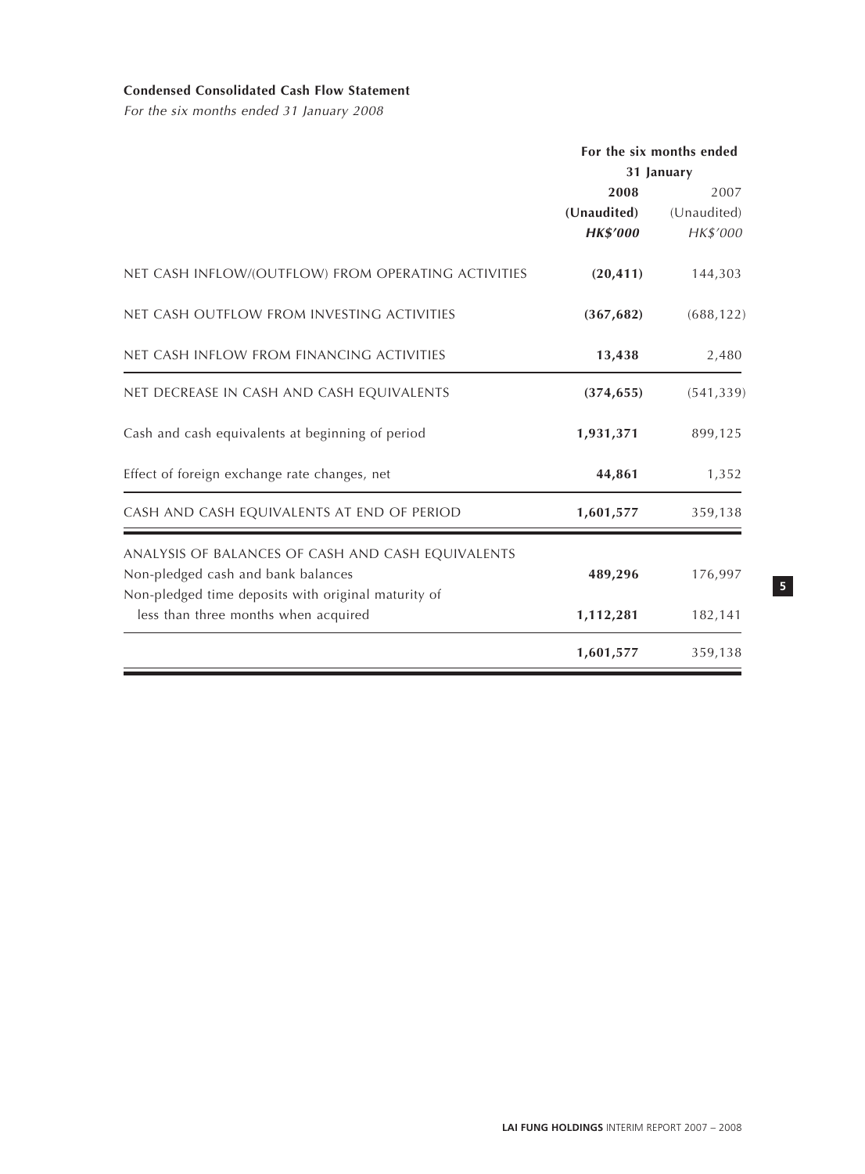# **Condensed Consolidated Cash Flow Statement**

For the six months ended 31 January 2008

|                                                     | For the six months ended |             |  |
|-----------------------------------------------------|--------------------------|-------------|--|
|                                                     |                          | 31 January  |  |
|                                                     | 2008                     | 2007        |  |
|                                                     | (Unaudited)              | (Unaudited) |  |
|                                                     | <b>HK\$'000</b>          | HK\$'000    |  |
| NET CASH INFLOW/(OUTFLOW) FROM OPERATING ACTIVITIES | (20, 411)                | 144,303     |  |
| NET CASH OUTFLOW FROM INVESTING ACTIVITIES          | (367, 682)               | (688, 122)  |  |
| NET CASH INFLOW FROM FINANCING ACTIVITIES           | 13,438                   | 2,480       |  |
| NET DECREASE IN CASH AND CASH EQUIVALENTS           | (374, 655)               | (541, 339)  |  |
| Cash and cash equivalents at beginning of period    | 1,931,371                | 899,125     |  |
| Effect of foreign exchange rate changes, net        | 44,861                   | 1,352       |  |
| CASH AND CASH EQUIVALENTS AT END OF PERIOD          | 1,601,577                | 359,138     |  |
| ANALYSIS OF BALANCES OF CASH AND CASH EQUIVALENTS   |                          |             |  |
| Non-pledged cash and bank balances                  | 489,296                  | 176,997     |  |
| Non-pledged time deposits with original maturity of |                          |             |  |
| less than three months when acquired                | 1,112,281                | 182,141     |  |
|                                                     | 1,601,577                | 359,138     |  |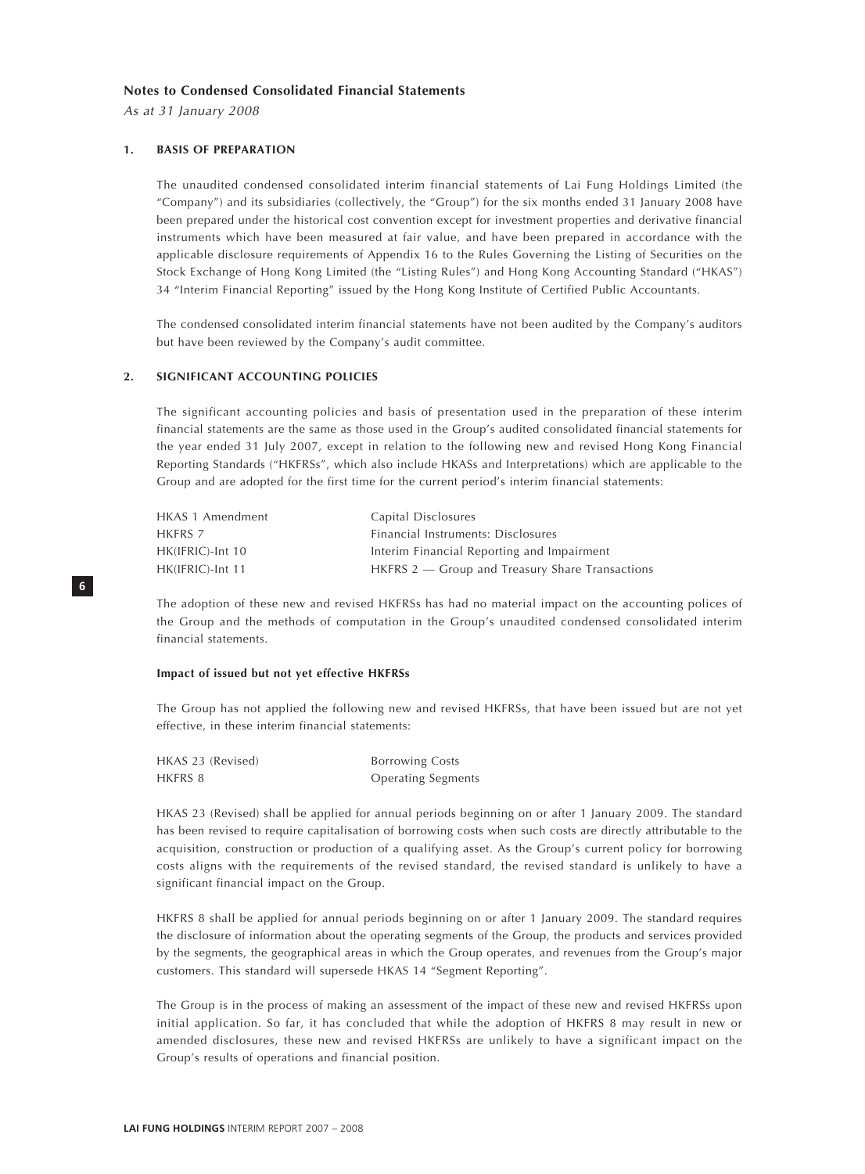#### **Notes to Condensed Consolidated Financial Statements**

As at 31 January 2008

**6**

#### **1. BASIS OF PREPARATION**

The unaudited condensed consolidated interim financial statements of Lai Fung Holdings Limited (the "Company") and its subsidiaries (collectively, the "Group") for the six months ended 31 January 2008 have been prepared under the historical cost convention except for investment properties and derivative financial instruments which have been measured at fair value, and have been prepared in accordance with the applicable disclosure requirements of Appendix 16 to the Rules Governing the Listing of Securities on the Stock Exchange of Hong Kong Limited (the "Listing Rules") and Hong Kong Accounting Standard ("HKAS") 34 "Interim Financial Reporting" issued by the Hong Kong Institute of Certified Public Accountants.

The condensed consolidated interim financial statements have not been audited by the Company's auditors but have been reviewed by the Company's audit committee.

#### **2. SIGNIFICANT ACCOUNTING POLICIES**

The significant accounting policies and basis of presentation used in the preparation of these interim financial statements are the same as those used in the Group's audited consolidated financial statements for the year ended 31 July 2007, except in relation to the following new and revised Hong Kong Financial Reporting Standards ("HKFRSs", which also include HKASs and Interpretations) which are applicable to the Group and are adopted for the first time for the current period's interim financial statements:

| HKAS 1 Amendment | Capital Disclosures                               |
|------------------|---------------------------------------------------|
| HKFRS 7          | Financial Instruments: Disclosures                |
| HK(IFRIC)-Int 10 | Interim Financial Reporting and Impairment        |
| HK(IFRIC)-Int 11 | $HKFRS 2$ – Group and Treasury Share Transactions |

The adoption of these new and revised HKFRSs has had no material impact on the accounting polices of the Group and the methods of computation in the Group's unaudited condensed consolidated interim financial statements.

#### **Impact of issued but not yet effective HKFRSs**

The Group has not applied the following new and revised HKFRSs, that have been issued but are not yet effective, in these interim financial statements:

| HKAS 23 (Revised) | <b>Borrowing Costs</b>    |
|-------------------|---------------------------|
| HKFRS 8           | <b>Operating Segments</b> |

HKAS 23 (Revised) shall be applied for annual periods beginning on or after 1 January 2009. The standard has been revised to require capitalisation of borrowing costs when such costs are directly attributable to the acquisition, construction or production of a qualifying asset. As the Group's current policy for borrowing costs aligns with the requirements of the revised standard, the revised standard is unlikely to have a significant financial impact on the Group.

HKFRS 8 shall be applied for annual periods beginning on or after 1 January 2009. The standard requires the disclosure of information about the operating segments of the Group, the products and services provided by the segments, the geographical areas in which the Group operates, and revenues from the Group's major customers. This standard will supersede HKAS 14 "Segment Reporting".

The Group is in the process of making an assessment of the impact of these new and revised HKFRSs upon initial application. So far, it has concluded that while the adoption of HKFRS 8 may result in new or amended disclosures, these new and revised HKFRSs are unlikely to have a significant impact on the Group's results of operations and financial position.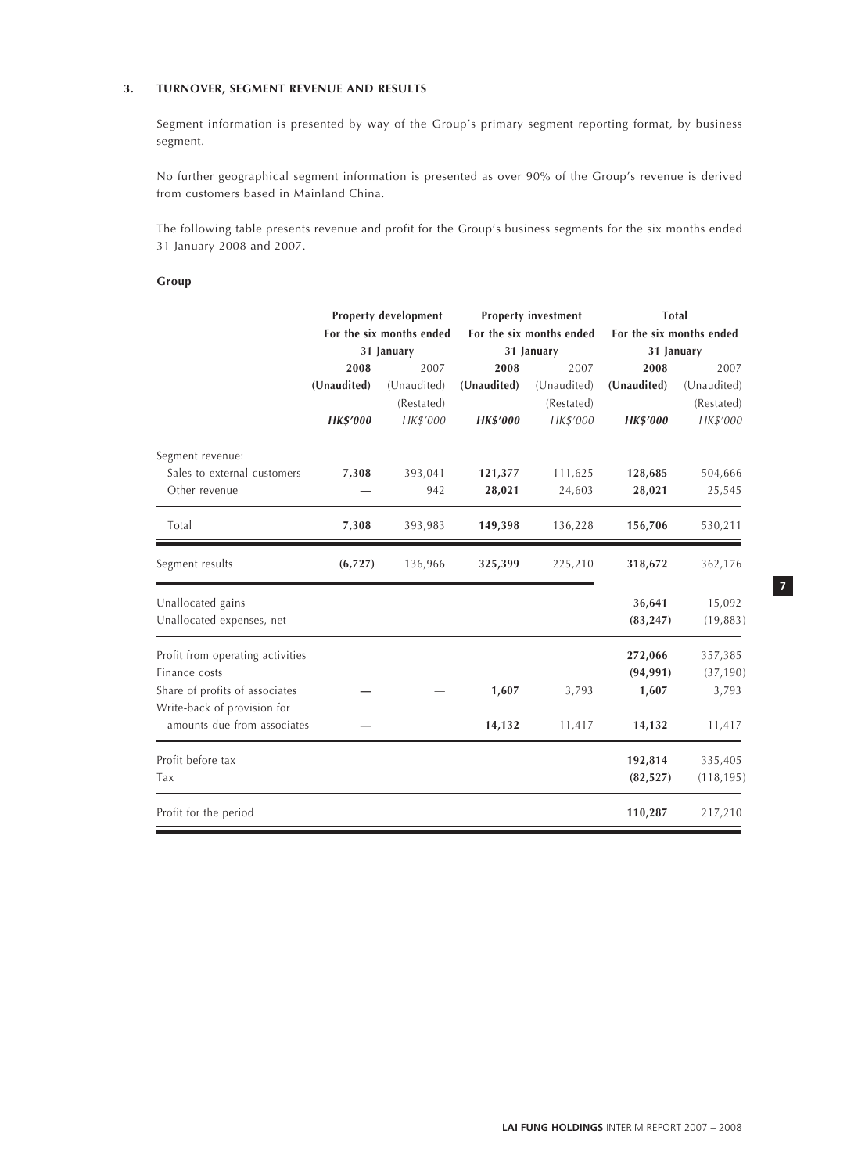# **3. TURNOVER, SEGMENT REVENUE AND RESULTS**

Segment information is presented by way of the Group's primary segment reporting format, by business segment.

No further geographical segment information is presented as over 90% of the Group's revenue is derived from customers based in Mainland China.

The following table presents revenue and profit for the Group's business segments for the six months ended 31 January 2008 and 2007.

#### **Group**

|                                                               |                 | <b>Property development</b> |             | <b>Property investment</b> | Total                    |             |  |
|---------------------------------------------------------------|-----------------|-----------------------------|-------------|----------------------------|--------------------------|-------------|--|
|                                                               |                 | For the six months ended    |             | For the six months ended   | For the six months ended |             |  |
|                                                               |                 | 31 January                  |             | 31 January                 | 31 January               |             |  |
|                                                               | 2008            | 2007                        | 2008        | 2007                       | 2008                     | 2007        |  |
|                                                               | (Unaudited)     | (Unaudited)                 | (Unaudited) | (Unaudited)                | (Unaudited)              | (Unaudited) |  |
|                                                               |                 | (Restated)                  |             | (Restated)                 |                          | (Restated)  |  |
|                                                               | <b>HK\$'000</b> | HK\$'000                    | HK\$'000    | HK\$'000                   | <b>HK\$'000</b>          | HK\$'000    |  |
| Segment revenue:                                              |                 |                             |             |                            |                          |             |  |
| Sales to external customers                                   | 7,308           | 393,041                     | 121,377     | 111,625                    | 128,685                  | 504,666     |  |
| Other revenue                                                 |                 | 942                         | 28,021      | 24,603                     | 28,021                   | 25,545      |  |
| Total                                                         | 7,308           | 393,983                     | 149,398     | 136,228                    | 156,706                  | 530,211     |  |
| Segment results                                               | (6, 727)        | 136,966                     | 325,399     | 225,210                    | 318,672                  | 362,176     |  |
| Unallocated gains                                             |                 |                             |             |                            | 36,641                   | 15,092      |  |
| Unallocated expenses, net                                     |                 |                             |             |                            | (83, 247)                | (19, 883)   |  |
| Profit from operating activities                              |                 |                             |             |                            | 272,066                  | 357,385     |  |
| Finance costs                                                 |                 |                             |             |                            | (94, 991)                | (37, 190)   |  |
| Share of profits of associates<br>Write-back of provision for |                 |                             | 1,607       | 3,793                      | 1,607                    | 3,793       |  |
| amounts due from associates                                   |                 |                             | 14,132      | 11,417                     | 14,132                   | 11,417      |  |
| Profit before tax                                             |                 |                             |             |                            | 192,814                  | 335,405     |  |
| Tax                                                           |                 |                             |             |                            | (82, 527)                | (118, 195)  |  |
| Profit for the period                                         |                 |                             |             |                            | 110,287                  | 217,210     |  |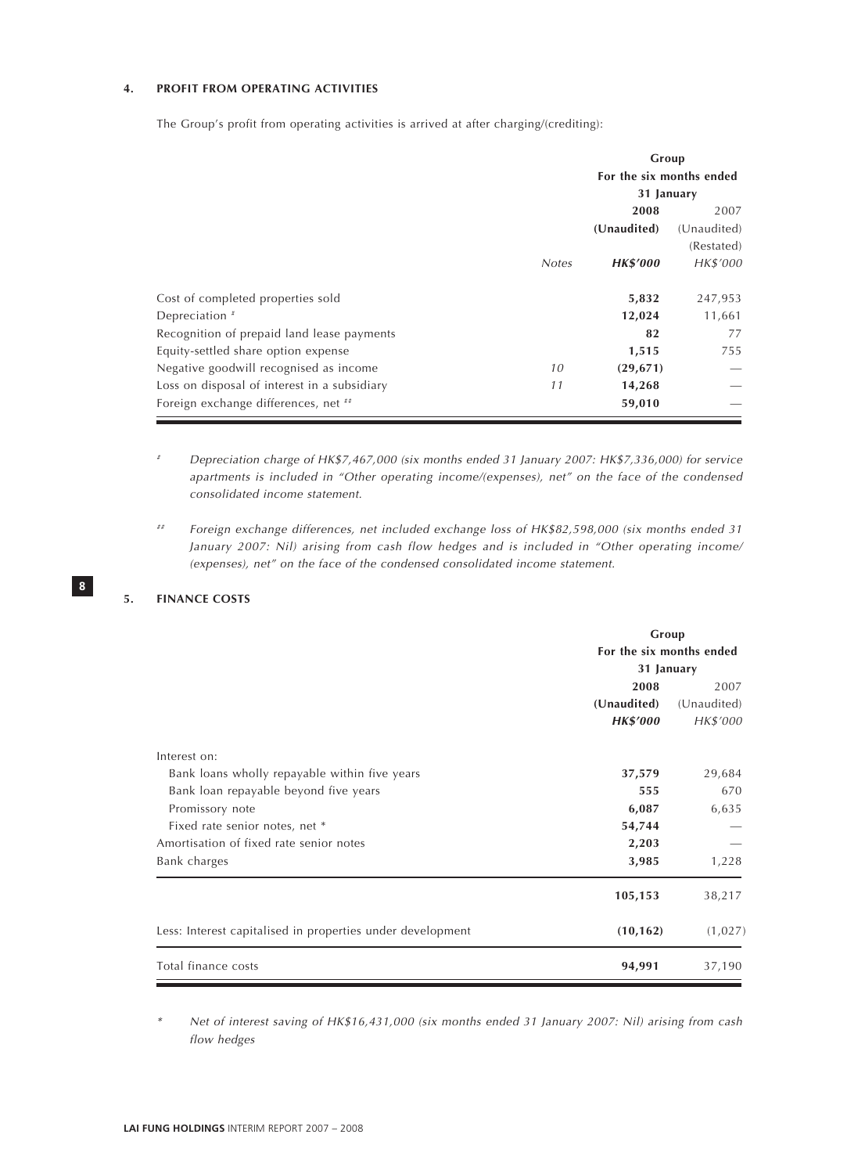# **4. PROFIT FROM OPERATING ACTIVITIES**

The Group's profit from operating activities is arrived at after charging/(crediting):

|                                              |              | Group<br>For the six months ended |             |  |
|----------------------------------------------|--------------|-----------------------------------|-------------|--|
|                                              |              |                                   |             |  |
|                                              |              | 31 January                        |             |  |
|                                              |              | 2008                              | 2007        |  |
|                                              |              | (Unaudited)                       | (Unaudited) |  |
|                                              |              |                                   | (Restated)  |  |
|                                              | <b>Notes</b> | <b>HK\$'000</b>                   | HK\$'000    |  |
| Cost of completed properties sold            |              | 5,832                             | 247,953     |  |
| Depreciation <sup>#</sup>                    |              | 12,024                            | 11,661      |  |
| Recognition of prepaid land lease payments   |              | 82                                | 77          |  |
| Equity-settled share option expense          |              | 1,515                             | 755         |  |
| Negative goodwill recognised as income       | 10           | (29, 671)                         |             |  |
| Loss on disposal of interest in a subsidiary | 11           | 14,268                            |             |  |
| Foreign exchange differences, net **         |              | 59,010                            |             |  |

Depreciation charge of HK\$7,467,000 (six months ended 31 January 2007: HK\$7,336,000) for service apartments is included in "Other operating income/(expenses), net" on the face of the condensed consolidated income statement.

## Foreign exchange differences, net included exchange loss of HK\$82,598,000 (six months ended 31 January 2007: Nil) arising from cash flow hedges and is included in "Other operating income/ (expenses), net" on the face of the condensed consolidated income statement.

#### **5. FINANCE COSTS**

**8**

|                                                            | Group<br>For the six months ended<br>31 January |             |  |
|------------------------------------------------------------|-------------------------------------------------|-------------|--|
|                                                            |                                                 |             |  |
|                                                            |                                                 |             |  |
|                                                            | 2008                                            | 2007        |  |
|                                                            | (Unaudited)                                     | (Unaudited) |  |
|                                                            | <b>HK\$'000</b>                                 | HK\$'000    |  |
| Interest on:                                               |                                                 |             |  |
| Bank loans wholly repayable within five years              | 37,579                                          | 29,684      |  |
| Bank loan repayable beyond five years                      | 555                                             | 670         |  |
| Promissory note                                            | 6,087                                           | 6,635       |  |
| Fixed rate senior notes, net *                             | 54,744                                          |             |  |
| Amortisation of fixed rate senior notes                    | 2,203                                           |             |  |
| Bank charges                                               | 3,985                                           | 1,228       |  |
|                                                            | 105,153                                         | 38,217      |  |
| Less: Interest capitalised in properties under development | (10, 162)                                       | (1,027)     |  |
| Total finance costs                                        | 94,991                                          | 37,190      |  |

\* Net of interest saving of HK\$16,431,000 (six months ended 31 January 2007: Nil) arising from cash flow hedges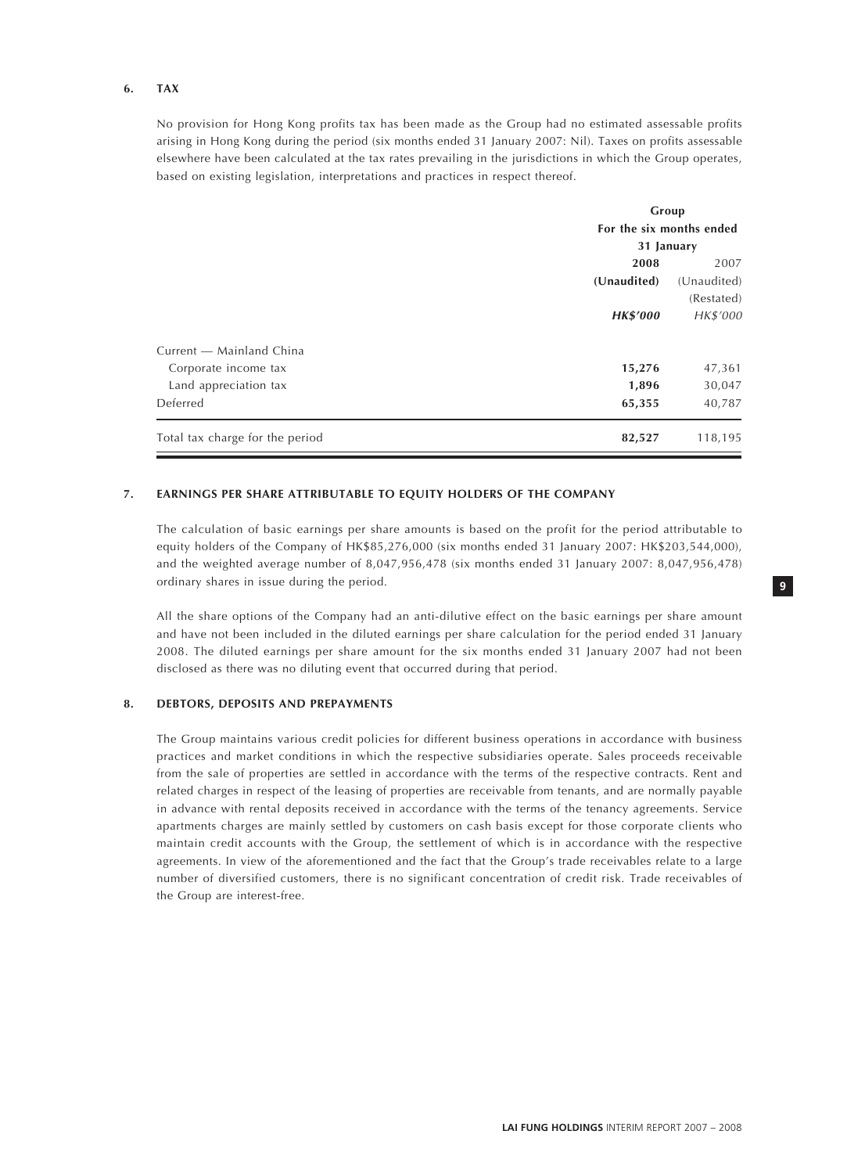#### **6. TAX**

No provision for Hong Kong profits tax has been made as the Group had no estimated assessable profits arising in Hong Kong during the period (six months ended 31 January 2007: Nil). Taxes on profits assessable elsewhere have been calculated at the tax rates prevailing in the jurisdictions in which the Group operates, based on existing legislation, interpretations and practices in respect thereof.

|                                 |                          | Group       |  |  |
|---------------------------------|--------------------------|-------------|--|--|
|                                 | For the six months ended |             |  |  |
|                                 | 31 January               |             |  |  |
|                                 | 2008                     | 2007        |  |  |
|                                 | (Unaudited)              | (Unaudited) |  |  |
|                                 |                          | (Restated)  |  |  |
|                                 | <b>HK\$'000</b>          | HK\$'000    |  |  |
| Current - Mainland China        |                          |             |  |  |
| Corporate income tax            | 15,276                   | 47,361      |  |  |
| Land appreciation tax           | 1,896                    | 30,047      |  |  |
| Deferred                        | 65,355                   | 40,787      |  |  |
| Total tax charge for the period | 82,527                   | 118,195     |  |  |
|                                 |                          |             |  |  |

# **7. EARNINGS PER SHARE ATTRIBUTABLE TO EQUITY HOLDERS OF THE COMPANY**

The calculation of basic earnings per share amounts is based on the profit for the period attributable to equity holders of the Company of HK\$85,276,000 (six months ended 31 January 2007: HK\$203,544,000), and the weighted average number of 8,047,956,478 (six months ended 31 January 2007: 8,047,956,478) ordinary shares in issue during the period.

All the share options of the Company had an anti-dilutive effect on the basic earnings per share amount and have not been included in the diluted earnings per share calculation for the period ended 31 January 2008. The diluted earnings per share amount for the six months ended 31 January 2007 had not been disclosed as there was no diluting event that occurred during that period.

#### **8. DEBTORS, DEPOSITS AND PREPAYMENTS**

The Group maintains various credit policies for different business operations in accordance with business practices and market conditions in which the respective subsidiaries operate. Sales proceeds receivable from the sale of properties are settled in accordance with the terms of the respective contracts. Rent and related charges in respect of the leasing of properties are receivable from tenants, and are normally payable in advance with rental deposits received in accordance with the terms of the tenancy agreements. Service apartments charges are mainly settled by customers on cash basis except for those corporate clients who maintain credit accounts with the Group, the settlement of which is in accordance with the respective agreements. In view of the aforementioned and the fact that the Group's trade receivables relate to a large number of diversified customers, there is no significant concentration of credit risk. Trade receivables of the Group are interest-free.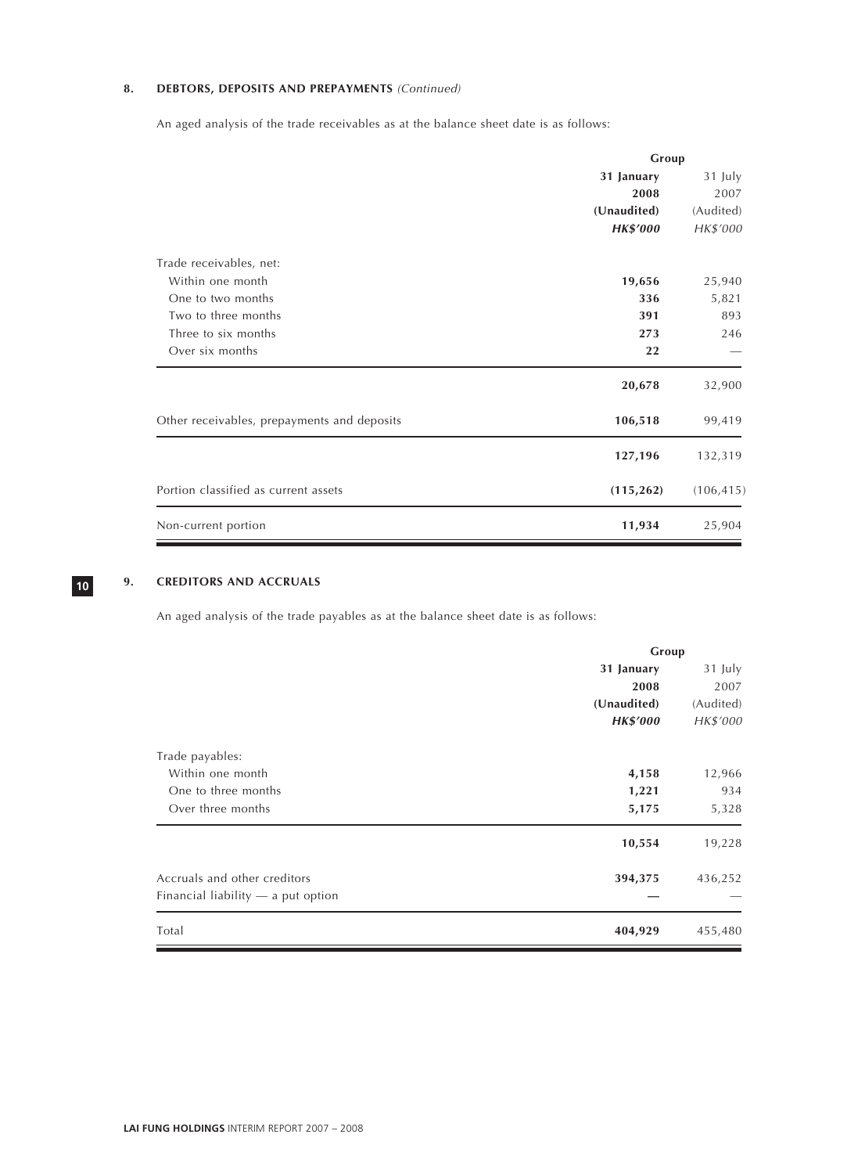# 8. DEBTORS, DEPOSITS AND PREPAYMENTS (Continued)

An aged analysis of the trade receivables as at the balance sheet date is as follows:

|                                             | Group           |            |
|---------------------------------------------|-----------------|------------|
|                                             | 31 January      | 31 July    |
|                                             | 2008            | 2007       |
|                                             | (Unaudited)     | (Audited)  |
|                                             | <b>HK\$'000</b> | HK\$'000   |
| Trade receivables, net:                     |                 |            |
| Within one month                            | 19,656          | 25,940     |
| One to two months                           | 336             | 5,821      |
| Two to three months                         | 391             | 893        |
| Three to six months                         | 273             | 246        |
| Over six months                             | 22              |            |
|                                             | 20,678          | 32,900     |
| Other receivables, prepayments and deposits | 106,518         | 99,419     |
|                                             | 127,196         | 132,319    |
| Portion classified as current assets        | (115, 262)      | (106, 415) |
| Non-current portion                         | 11,934          | 25,904     |

# **9. CREDITORS AND ACCRUALS**

An aged analysis of the trade payables as at the balance sheet date is as follows:

|                                         | Group     |  |  |
|-----------------------------------------|-----------|--|--|
| 31 January                              | 31 July   |  |  |
| 2008                                    | 2007      |  |  |
| (Unaudited)                             | (Audited) |  |  |
| <b>HK\$'000</b>                         | HK\$'000  |  |  |
| Trade payables:                         |           |  |  |
| Within one month<br>4,158               | 12,966    |  |  |
| One to three months<br>1,221            | 934       |  |  |
| Over three months<br>5,175              | 5,328     |  |  |
| 10,554                                  | 19,228    |  |  |
| Accruals and other creditors<br>394,375 | 436,252   |  |  |
| Financial liability $-$ a put option    |           |  |  |
| Total<br>404,929                        | 455,480   |  |  |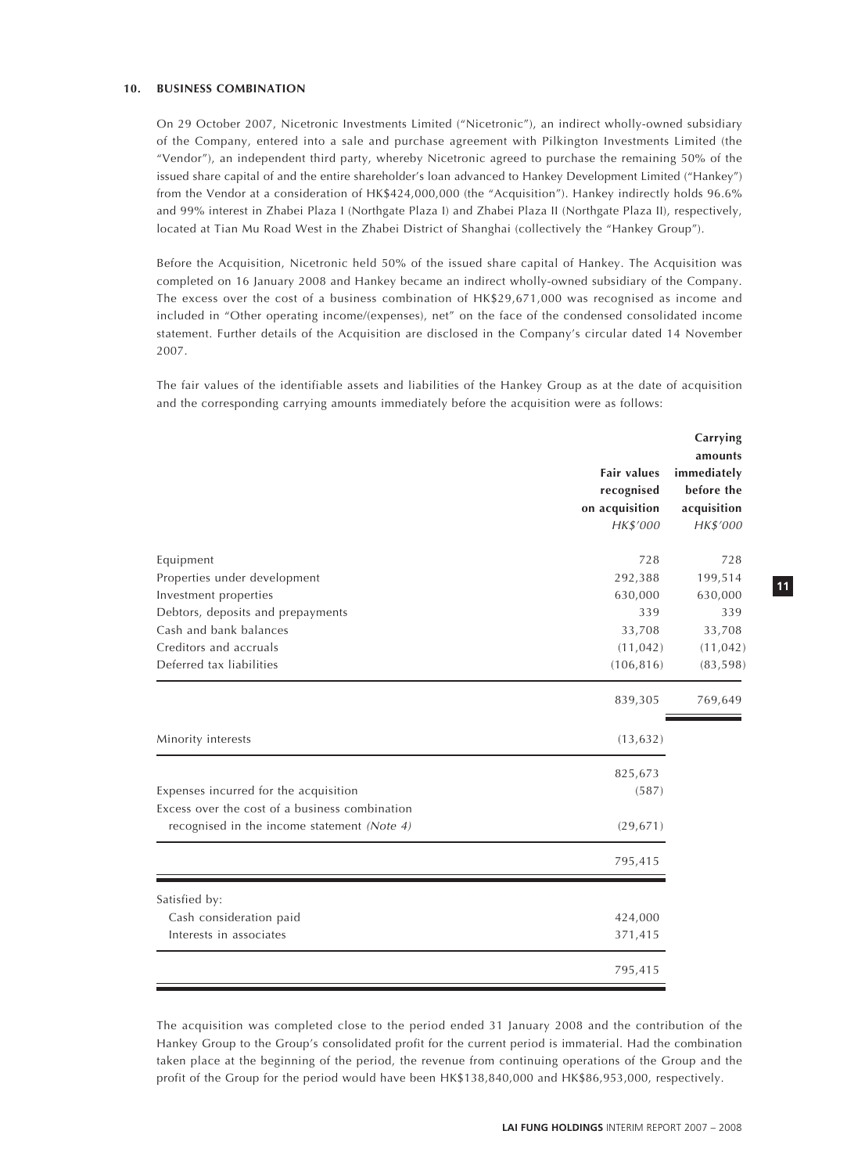#### **10. BUSINESS COMBINATION**

On 29 October 2007, Nicetronic Investments Limited ("Nicetronic"), an indirect wholly-owned subsidiary of the Company, entered into a sale and purchase agreement with Pilkington Investments Limited (the "Vendor"), an independent third party, whereby Nicetronic agreed to purchase the remaining 50% of the issued share capital of and the entire shareholder's loan advanced to Hankey Development Limited ("Hankey") from the Vendor at a consideration of HK\$424,000,000 (the "Acquisition"). Hankey indirectly holds 96.6% and 99% interest in Zhabei Plaza I (Northgate Plaza I) and Zhabei Plaza II (Northgate Plaza II), respectively, located at Tian Mu Road West in the Zhabei District of Shanghai (collectively the "Hankey Group").

Before the Acquisition, Nicetronic held 50% of the issued share capital of Hankey. The Acquisition was completed on 16 January 2008 and Hankey became an indirect wholly-owned subsidiary of the Company. The excess over the cost of a business combination of HK\$29,671,000 was recognised as income and included in "Other operating income/(expenses), net" on the face of the condensed consolidated income statement. Further details of the Acquisition are disclosed in the Company's circular dated 14 November 2007.

The fair values of the identifiable assets and liabilities of the Hankey Group as at the date of acquisition and the corresponding carrying amounts immediately before the acquisition were as follows:

|                                                                                         | <b>Fair values</b><br>recognised<br>on acquisition<br>HK\$'000 | Carrying<br>amounts<br>immediately<br>before the<br>acquisition<br>HK\$'000 |
|-----------------------------------------------------------------------------------------|----------------------------------------------------------------|-----------------------------------------------------------------------------|
| Equipment                                                                               | 728                                                            | 728                                                                         |
| Properties under development                                                            | 292,388                                                        | 199,514                                                                     |
| Investment properties                                                                   | 630,000                                                        | 630,000                                                                     |
| Debtors, deposits and prepayments                                                       | 339                                                            | 339                                                                         |
| Cash and bank balances                                                                  | 33,708                                                         | 33,708                                                                      |
| Creditors and accruals                                                                  | (11, 042)                                                      | (11, 042)                                                                   |
| Deferred tax liabilities                                                                | (106, 816)                                                     | (83, 598)                                                                   |
|                                                                                         | 839,305                                                        | 769,649                                                                     |
| Minority interests                                                                      | (13, 632)                                                      |                                                                             |
|                                                                                         | 825,673                                                        |                                                                             |
| Expenses incurred for the acquisition<br>Excess over the cost of a business combination | (587)                                                          |                                                                             |
| recognised in the income statement (Note 4)                                             | (29, 671)                                                      |                                                                             |
|                                                                                         | 795,415                                                        |                                                                             |
| Satisfied by:                                                                           |                                                                |                                                                             |
| Cash consideration paid                                                                 | 424,000                                                        |                                                                             |
| Interests in associates                                                                 | 371,415                                                        |                                                                             |
|                                                                                         | 795,415                                                        |                                                                             |

The acquisition was completed close to the period ended 31 January 2008 and the contribution of the Hankey Group to the Group's consolidated profit for the current period is immaterial. Had the combination taken place at the beginning of the period, the revenue from continuing operations of the Group and the profit of the Group for the period would have been HK\$138,840,000 and HK\$86,953,000, respectively.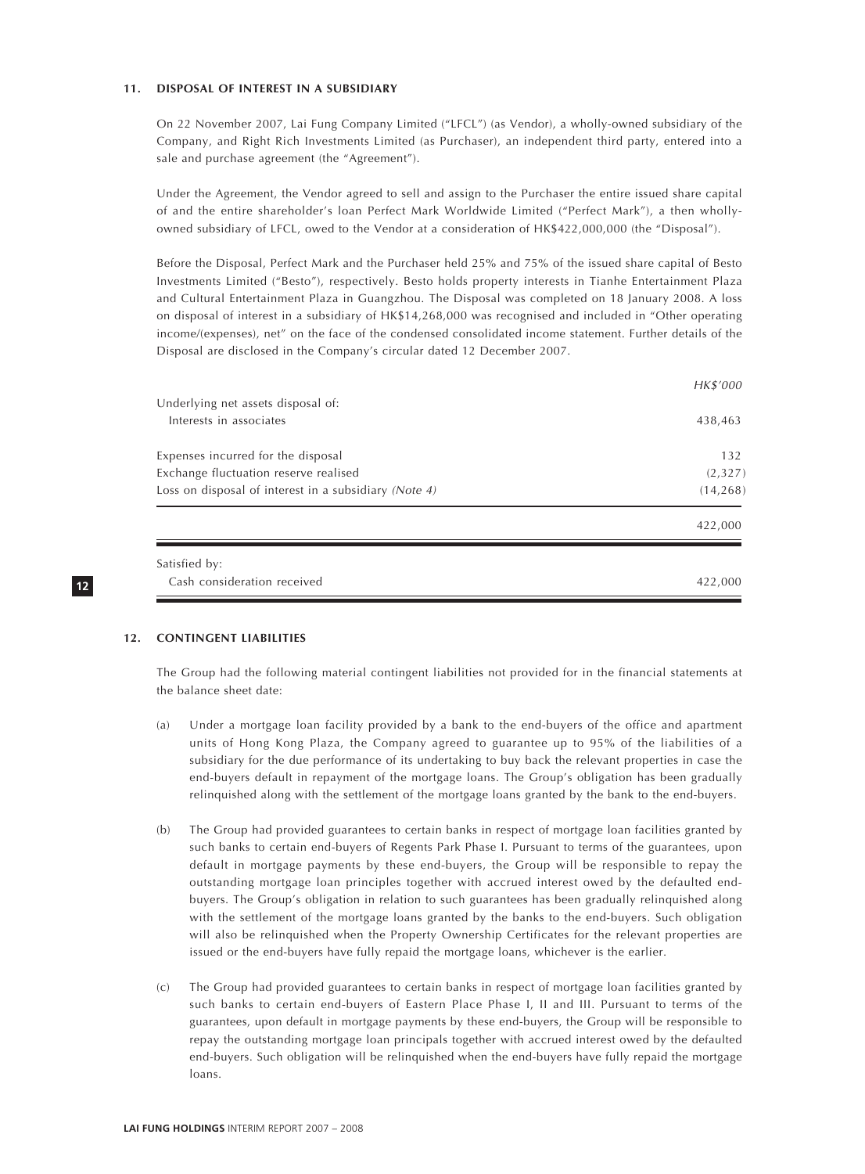#### **11. DISPOSAL OF INTEREST IN A SUBSIDIARY**

On 22 November 2007, Lai Fung Company Limited ("LFCL") (as Vendor), a wholly-owned subsidiary of the Company, and Right Rich Investments Limited (as Purchaser), an independent third party, entered into a sale and purchase agreement (the "Agreement").

Under the Agreement, the Vendor agreed to sell and assign to the Purchaser the entire issued share capital of and the entire shareholder's loan Perfect Mark Worldwide Limited ("Perfect Mark"), a then whollyowned subsidiary of LFCL, owed to the Vendor at a consideration of HK\$422,000,000 (the "Disposal").

Before the Disposal, Perfect Mark and the Purchaser held 25% and 75% of the issued share capital of Besto Investments Limited ("Besto"), respectively. Besto holds property interests in Tianhe Entertainment Plaza and Cultural Entertainment Plaza in Guangzhou. The Disposal was completed on 18 January 2008. A loss on disposal of interest in a subsidiary of HK\$14,268,000 was recognised and included in "Other operating income/(expenses), net" on the face of the condensed consolidated income statement. Further details of the Disposal are disclosed in the Company's circular dated 12 December 2007.

|                                                       | HK\$'000  |
|-------------------------------------------------------|-----------|
| Underlying net assets disposal of:                    |           |
| Interests in associates                               | 438,463   |
| Expenses incurred for the disposal                    | 132       |
| Exchange fluctuation reserve realised                 | (2,327)   |
| Loss on disposal of interest in a subsidiary (Note 4) | (14, 268) |
|                                                       | 422,000   |
| Satisfied by:                                         |           |
| Cash consideration received                           | 422.000   |

# **12**

#### **12. CONTINGENT LIABILITIES**

The Group had the following material contingent liabilities not provided for in the financial statements at the balance sheet date:

- (a) Under a mortgage loan facility provided by a bank to the end-buyers of the office and apartment units of Hong Kong Plaza, the Company agreed to guarantee up to 95% of the liabilities of a subsidiary for the due performance of its undertaking to buy back the relevant properties in case the end-buyers default in repayment of the mortgage loans. The Group's obligation has been gradually relinquished along with the settlement of the mortgage loans granted by the bank to the end-buyers.
- (b) The Group had provided guarantees to certain banks in respect of mortgage loan facilities granted by such banks to certain end-buyers of Regents Park Phase I. Pursuant to terms of the guarantees, upon default in mortgage payments by these end-buyers, the Group will be responsible to repay the outstanding mortgage loan principles together with accrued interest owed by the defaulted endbuyers. The Group's obligation in relation to such guarantees has been gradually relinquished along with the settlement of the mortgage loans granted by the banks to the end-buyers. Such obligation will also be relinquished when the Property Ownership Certificates for the relevant properties are issued or the end-buyers have fully repaid the mortgage loans, whichever is the earlier.
- (c) The Group had provided guarantees to certain banks in respect of mortgage loan facilities granted by such banks to certain end-buyers of Eastern Place Phase I, II and III. Pursuant to terms of the guarantees, upon default in mortgage payments by these end-buyers, the Group will be responsible to repay the outstanding mortgage loan principals together with accrued interest owed by the defaulted end-buyers. Such obligation will be relinquished when the end-buyers have fully repaid the mortgage loans.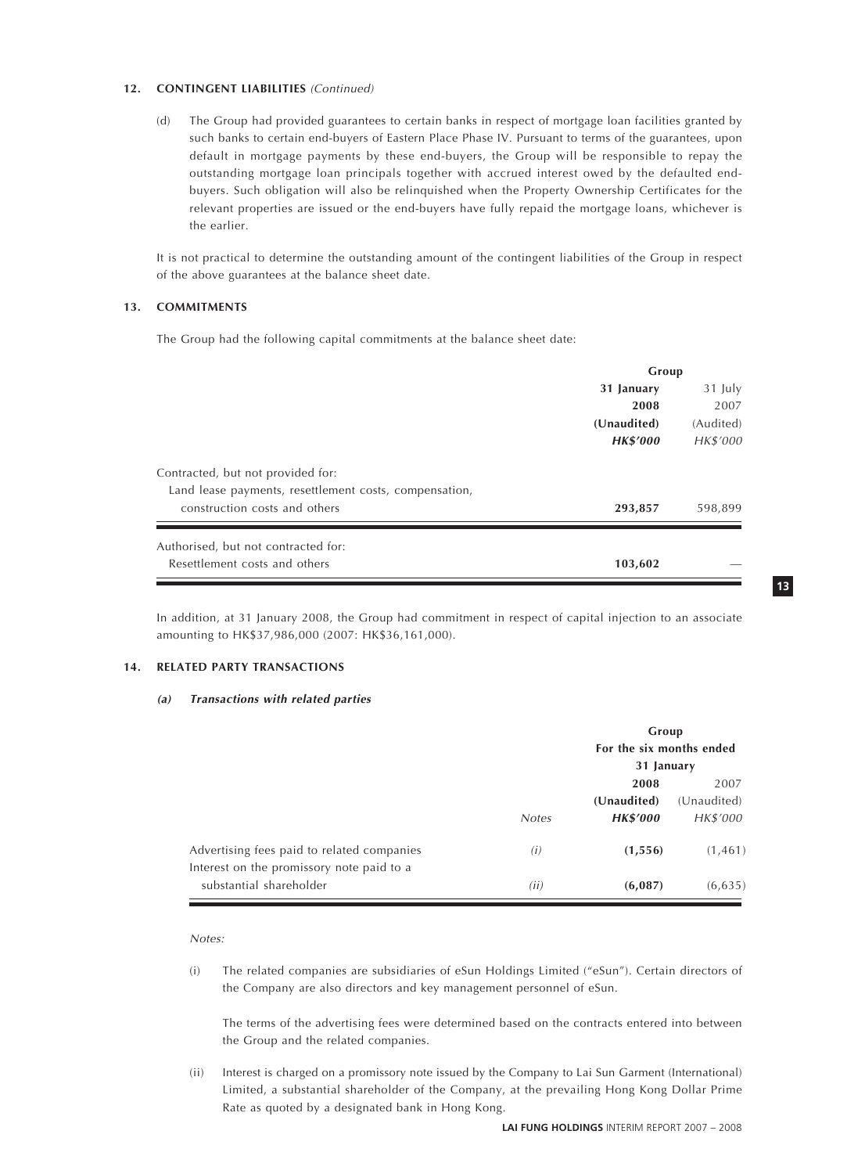#### **12. CONTINGENT LIABILITIES** (Continued)

(d) The Group had provided guarantees to certain banks in respect of mortgage loan facilities granted by such banks to certain end-buyers of Eastern Place Phase IV. Pursuant to terms of the guarantees, upon default in mortgage payments by these end-buyers, the Group will be responsible to repay the outstanding mortgage loan principals together with accrued interest owed by the defaulted endbuyers. Such obligation will also be relinquished when the Property Ownership Certificates for the relevant properties are issued or the end-buyers have fully repaid the mortgage loans, whichever is the earlier.

It is not practical to determine the outstanding amount of the contingent liabilities of the Group in respect of the above guarantees at the balance sheet date.

#### **13. COMMITMENTS**

The Group had the following capital commitments at the balance sheet date:

|                                                                                             | Group           |           |
|---------------------------------------------------------------------------------------------|-----------------|-----------|
|                                                                                             | 31 January      | 31 July   |
|                                                                                             | 2008            | 2007      |
|                                                                                             | (Unaudited)     | (Audited) |
|                                                                                             | <b>HK\$'000</b> | HK\$'000  |
| Contracted, but not provided for:<br>Land lease payments, resettlement costs, compensation, |                 |           |
| construction costs and others                                                               | 293,857         | 598,899   |
| Authorised, but not contracted for:                                                         |                 |           |
| Resettlement costs and others                                                               | 103,602         |           |

In addition, at 31 January 2008, the Group had commitment in respect of capital injection to an associate amounting to HK\$37,986,000 (2007: HK\$36,161,000).

#### **14. RELATED PARTY TRANSACTIONS**

#### **(a) Transactions with related parties**

|                                                                                         |              | Group<br>For the six months ended<br>31 January |                                 |
|-----------------------------------------------------------------------------------------|--------------|-------------------------------------------------|---------------------------------|
|                                                                                         | <b>Notes</b> | 2008<br>(Unaudited)<br><b>HK\$'000</b>          | 2007<br>(Unaudited)<br>HK\$'000 |
| Advertising fees paid to related companies<br>Interest on the promissory note paid to a | (i)          | (1, 556)                                        | (1, 461)                        |
| substantial shareholder                                                                 | (ii)         | (6,087)                                         | (6, 635)                        |

Notes:

(i) The related companies are subsidiaries of eSun Holdings Limited ("eSun"). Certain directors of the Company are also directors and key management personnel of eSun.

The terms of the advertising fees were determined based on the contracts entered into between the Group and the related companies.

(ii) Interest is charged on a promissory note issued by the Company to Lai Sun Garment (International) Limited, a substantial shareholder of the Company, at the prevailing Hong Kong Dollar Prime Rate as quoted by a designated bank in Hong Kong.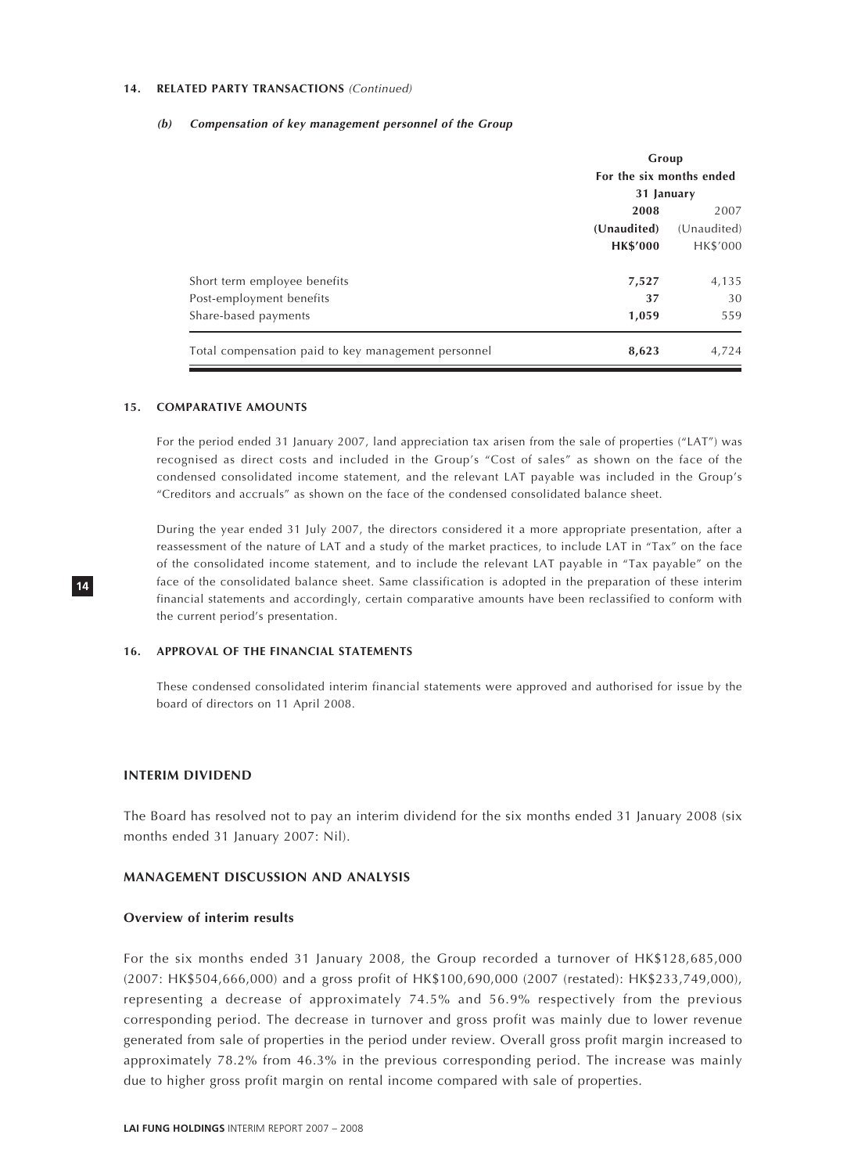#### **14. RELATED PARTY TRANSACTIONS** (Continued)

#### **(b) Compensation of key management personnel of the Group**

|                                                     | Group<br>For the six months ended |                     |
|-----------------------------------------------------|-----------------------------------|---------------------|
|                                                     | 31 January                        |                     |
|                                                     | 2008<br>(Unaudited)               | 2007<br>(Unaudited) |
|                                                     | <b>HK\$'000</b>                   | HK\$'000            |
| Short term employee benefits                        | 7,527                             | 4,135               |
| Post-employment benefits                            | 37                                | 30                  |
| Share-based payments                                | 1,059                             | 559                 |
| Total compensation paid to key management personnel | 8,623                             | 4,724               |

#### **15. COMPARATIVE AMOUNTS**

For the period ended 31 January 2007, land appreciation tax arisen from the sale of properties ("LAT") was recognised as direct costs and included in the Group's "Cost of sales" as shown on the face of the condensed consolidated income statement, and the relevant LAT payable was included in the Group's "Creditors and accruals" as shown on the face of the condensed consolidated balance sheet.

During the year ended 31 July 2007, the directors considered it a more appropriate presentation, after a reassessment of the nature of LAT and a study of the market practices, to include LAT in "Tax" on the face of the consolidated income statement, and to include the relevant LAT payable in "Tax payable" on the face of the consolidated balance sheet. Same classification is adopted in the preparation of these interim financial statements and accordingly, certain comparative amounts have been reclassified to conform with the current period's presentation.

#### **16. APPROVAL OF THE FINANCIAL STATEMENTS**

These condensed consolidated interim financial statements were approved and authorised for issue by the board of directors on 11 April 2008.

#### **INTERIM DIVIDEND**

The Board has resolved not to pay an interim dividend for the six months ended 31 January 2008 (six months ended 31 January 2007: Nil).

#### **MANAGEMENT DISCUSSION AND ANALYSIS**

#### **Overview of interim results**

For the six months ended 31 January 2008, the Group recorded a turnover of HK\$128,685,000 (2007: HK\$504,666,000) and a gross profit of HK\$100,690,000 (2007 (restated): HK\$233,749,000), representing a decrease of approximately 74.5% and 56.9% respectively from the previous corresponding period. The decrease in turnover and gross profit was mainly due to lower revenue generated from sale of properties in the period under review. Overall gross profit margin increased to approximately 78.2% from 46.3% in the previous corresponding period. The increase was mainly due to higher gross profit margin on rental income compared with sale of properties.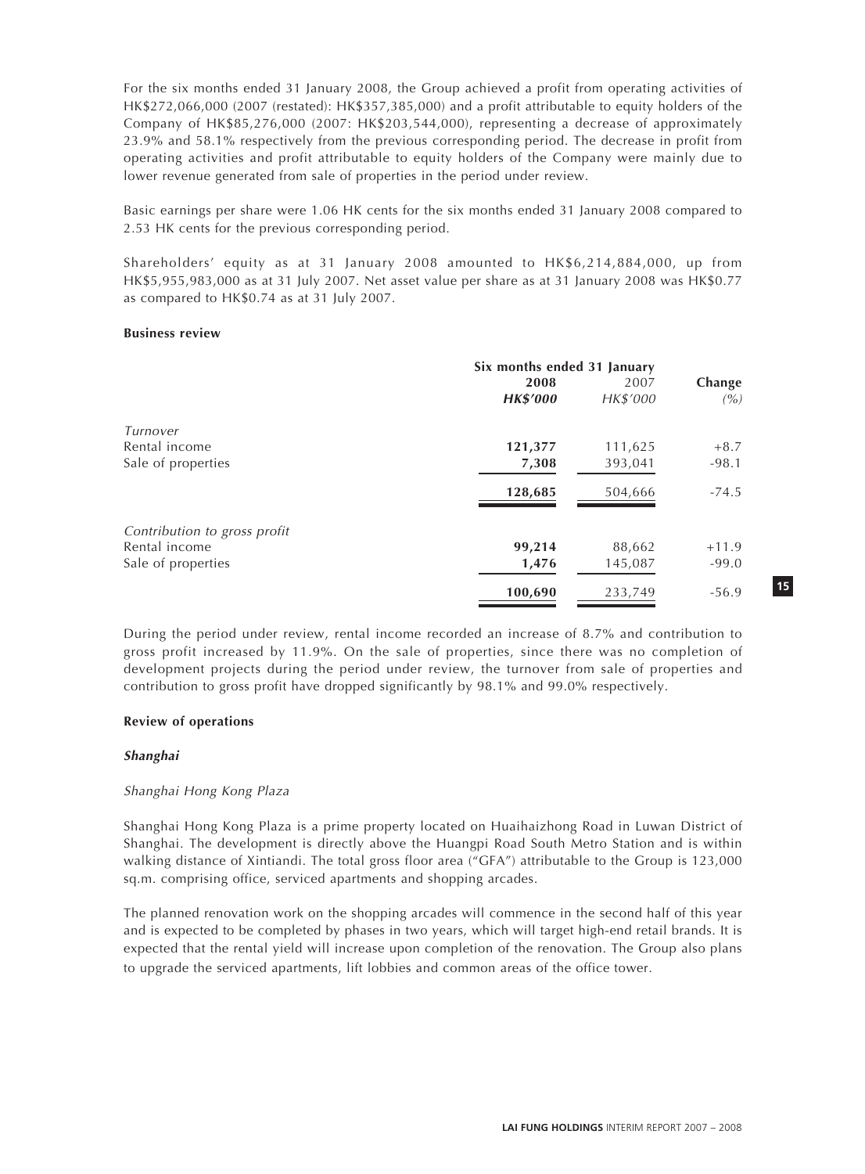For the six months ended 31 January 2008, the Group achieved a profit from operating activities of HK\$272,066,000 (2007 (restated): HK\$357,385,000) and a profit attributable to equity holders of the Company of HK\$85,276,000 (2007: HK\$203,544,000), representing a decrease of approximately 23.9% and 58.1% respectively from the previous corresponding period. The decrease in profit from operating activities and profit attributable to equity holders of the Company were mainly due to lower revenue generated from sale of properties in the period under review.

Basic earnings per share were 1.06 HK cents for the six months ended 31 January 2008 compared to 2.53 HK cents for the previous corresponding period.

Shareholders' equity as at 31 January 2008 amounted to HK\$6,214,884,000, up from HK\$5,955,983,000 as at 31 July 2007. Net asset value per share as at 31 January 2008 was HK\$0.77 as compared to HK\$0.74 as at 31 July 2007.

#### **Business review**

|                              | Six months ended 31 January<br>2008<br>2007 |          |               |
|------------------------------|---------------------------------------------|----------|---------------|
|                              | <b>HK\$'000</b>                             | HK\$'000 | Change<br>(%) |
| Turnover                     |                                             |          |               |
| Rental income                | 121,377                                     | 111,625  | $+8.7$        |
| Sale of properties           | 7,308                                       | 393,041  | $-98.1$       |
|                              | 128,685                                     | 504,666  | $-74.5$       |
| Contribution to gross profit |                                             |          |               |
| Rental income                | 99,214                                      | 88,662   | $+11.9$       |
| Sale of properties           | 1,476                                       | 145,087  | $-99.0$       |
|                              | 100,690                                     | 233,749  | $-56.9$       |

During the period under review, rental income recorded an increase of 8.7% and contribution to gross profit increased by 11.9%. On the sale of properties, since there was no completion of development projects during the period under review, the turnover from sale of properties and contribution to gross profit have dropped significantly by 98.1% and 99.0% respectively.

# **Review of operations**

# **Shanghai**

# Shanghai Hong Kong Plaza

Shanghai Hong Kong Plaza is a prime property located on Huaihaizhong Road in Luwan District of Shanghai. The development is directly above the Huangpi Road South Metro Station and is within walking distance of Xintiandi. The total gross floor area ("GFA") attributable to the Group is 123,000 sq.m. comprising office, serviced apartments and shopping arcades.

The planned renovation work on the shopping arcades will commence in the second half of this year and is expected to be completed by phases in two years, which will target high-end retail brands. It is expected that the rental yield will increase upon completion of the renovation. The Group also plans to upgrade the serviced apartments, lift lobbies and common areas of the office tower.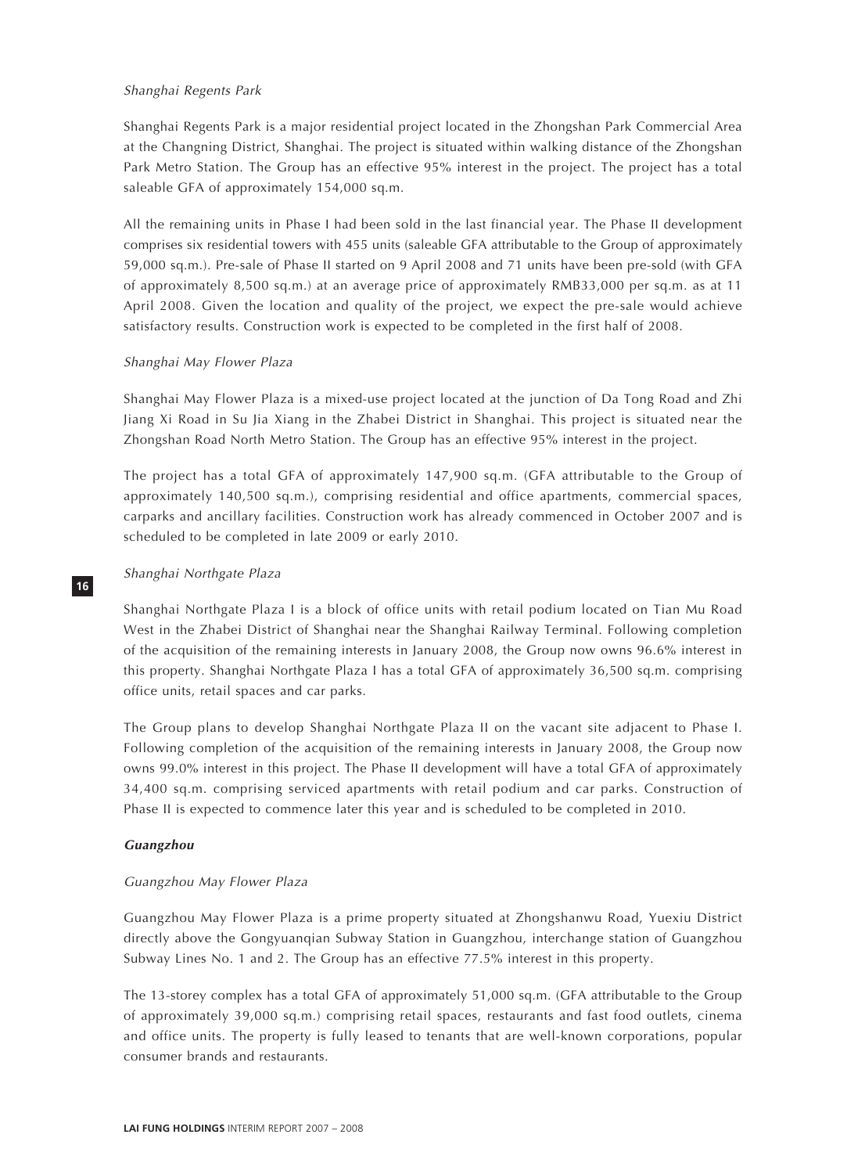# Shanghai Regents Park

Shanghai Regents Park is a major residential project located in the Zhongshan Park Commercial Area at the Changning District, Shanghai. The project is situated within walking distance of the Zhongshan Park Metro Station. The Group has an effective 95% interest in the project. The project has a total saleable GFA of approximately 154,000 sq.m.

All the remaining units in Phase I had been sold in the last financial year. The Phase II development comprises six residential towers with 455 units (saleable GFA attributable to the Group of approximately 59,000 sq.m.). Pre-sale of Phase II started on 9 April 2008 and 71 units have been pre-sold (with GFA of approximately 8,500 sq.m.) at an average price of approximately RMB33,000 per sq.m. as at 11 April 2008. Given the location and quality of the project, we expect the pre-sale would achieve satisfactory results. Construction work is expected to be completed in the first half of 2008.

# Shanghai May Flower Plaza

Shanghai May Flower Plaza is a mixed-use project located at the junction of Da Tong Road and Zhi Jiang Xi Road in Su Jia Xiang in the Zhabei District in Shanghai. This project is situated near the Zhongshan Road North Metro Station. The Group has an effective 95% interest in the project.

The project has a total GFA of approximately 147,900 sq.m. (GFA attributable to the Group of approximately 140,500 sq.m.), comprising residential and office apartments, commercial spaces, carparks and ancillary facilities. Construction work has already commenced in October 2007 and is scheduled to be completed in late 2009 or early 2010.

# Shanghai Northgate Plaza

**16**

Shanghai Northgate Plaza I is a block of office units with retail podium located on Tian Mu Road West in the Zhabei District of Shanghai near the Shanghai Railway Terminal. Following completion of the acquisition of the remaining interests in January 2008, the Group now owns 96.6% interest in this property. Shanghai Northgate Plaza I has a total GFA of approximately 36,500 sq.m. comprising office units, retail spaces and car parks.

The Group plans to develop Shanghai Northgate Plaza II on the vacant site adjacent to Phase I. Following completion of the acquisition of the remaining interests in January 2008, the Group now owns 99.0% interest in this project. The Phase II development will have a total GFA of approximately 34,400 sq.m. comprising serviced apartments with retail podium and car parks. Construction of Phase II is expected to commence later this year and is scheduled to be completed in 2010.

# **Guangzhou**

# Guangzhou May Flower Plaza

Guangzhou May Flower Plaza is a prime property situated at Zhongshanwu Road, Yuexiu District directly above the Gongyuanqian Subway Station in Guangzhou, interchange station of Guangzhou Subway Lines No. 1 and 2. The Group has an effective 77.5% interest in this property.

The 13-storey complex has a total GFA of approximately 51,000 sq.m. (GFA attributable to the Group of approximately 39,000 sq.m.) comprising retail spaces, restaurants and fast food outlets, cinema and office units. The property is fully leased to tenants that are well-known corporations, popular consumer brands and restaurants.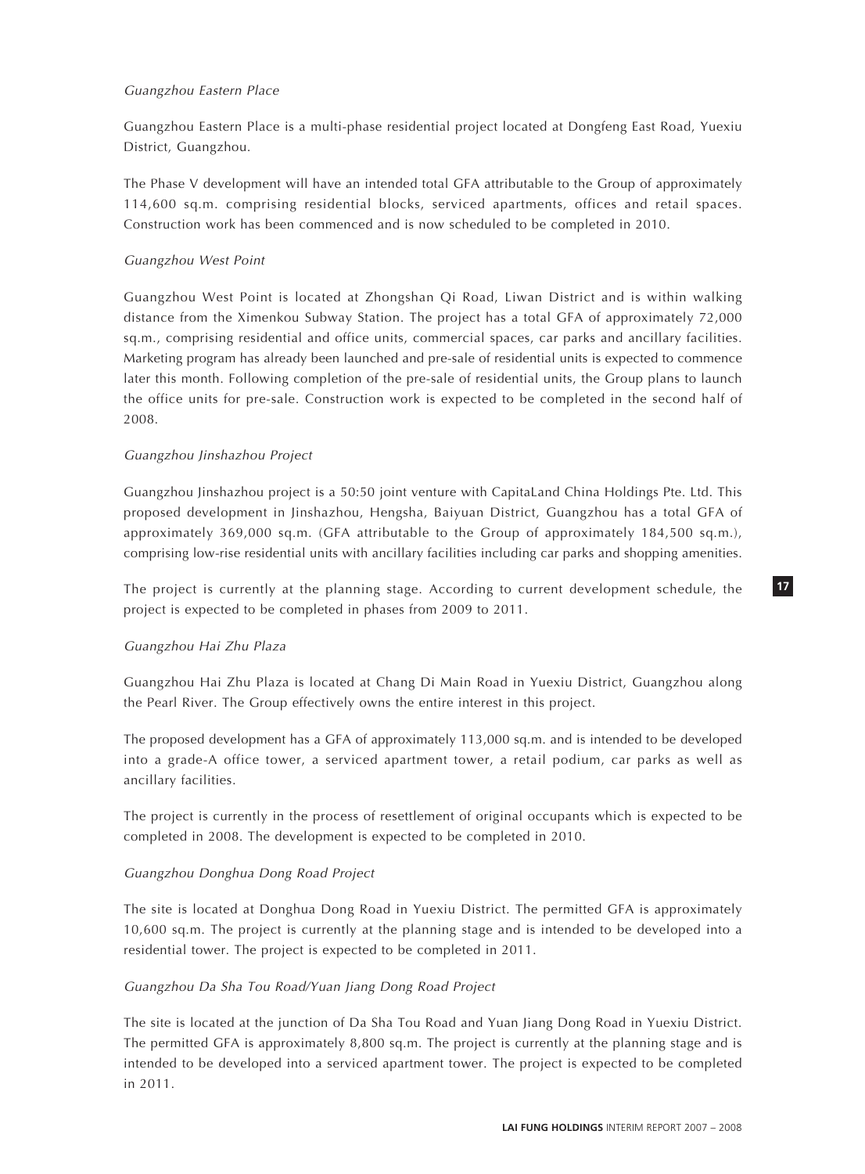# Guangzhou Eastern Place

Guangzhou Eastern Place is a multi-phase residential project located at Dongfeng East Road, Yuexiu District, Guangzhou.

The Phase V development will have an intended total GFA attributable to the Group of approximately 114,600 sq.m. comprising residential blocks, serviced apartments, offices and retail spaces. Construction work has been commenced and is now scheduled to be completed in 2010.

# Guangzhou West Point

Guangzhou West Point is located at Zhongshan Qi Road, Liwan District and is within walking distance from the Ximenkou Subway Station. The project has a total GFA of approximately 72,000 sq.m., comprising residential and office units, commercial spaces, car parks and ancillary facilities. Marketing program has already been launched and pre-sale of residential units is expected to commence later this month. Following completion of the pre-sale of residential units, the Group plans to launch the office units for pre-sale. Construction work is expected to be completed in the second half of 2008.

# Guangzhou Jinshazhou Project

Guangzhou Jinshazhou project is a 50:50 joint venture with CapitaLand China Holdings Pte. Ltd. This proposed development in Jinshazhou, Hengsha, Baiyuan District, Guangzhou has a total GFA of approximately 369,000 sq.m. (GFA attributable to the Group of approximately 184,500 sq.m.), comprising low-rise residential units with ancillary facilities including car parks and shopping amenities.

The project is currently at the planning stage. According to current development schedule, the project is expected to be completed in phases from 2009 to 2011.

# Guangzhou Hai Zhu Plaza

Guangzhou Hai Zhu Plaza is located at Chang Di Main Road in Yuexiu District, Guangzhou along the Pearl River. The Group effectively owns the entire interest in this project.

The proposed development has a GFA of approximately 113,000 sq.m. and is intended to be developed into a grade-A office tower, a serviced apartment tower, a retail podium, car parks as well as ancillary facilities.

The project is currently in the process of resettlement of original occupants which is expected to be completed in 2008. The development is expected to be completed in 2010.

# Guangzhou Donghua Dong Road Project

The site is located at Donghua Dong Road in Yuexiu District. The permitted GFA is approximately 10,600 sq.m. The project is currently at the planning stage and is intended to be developed into a residential tower. The project is expected to be completed in 2011.

# Guangzhou Da Sha Tou Road/Yuan Jiang Dong Road Project

The site is located at the junction of Da Sha Tou Road and Yuan Jiang Dong Road in Yuexiu District. The permitted GFA is approximately 8,800 sq.m. The project is currently at the planning stage and is intended to be developed into a serviced apartment tower. The project is expected to be completed in 2011.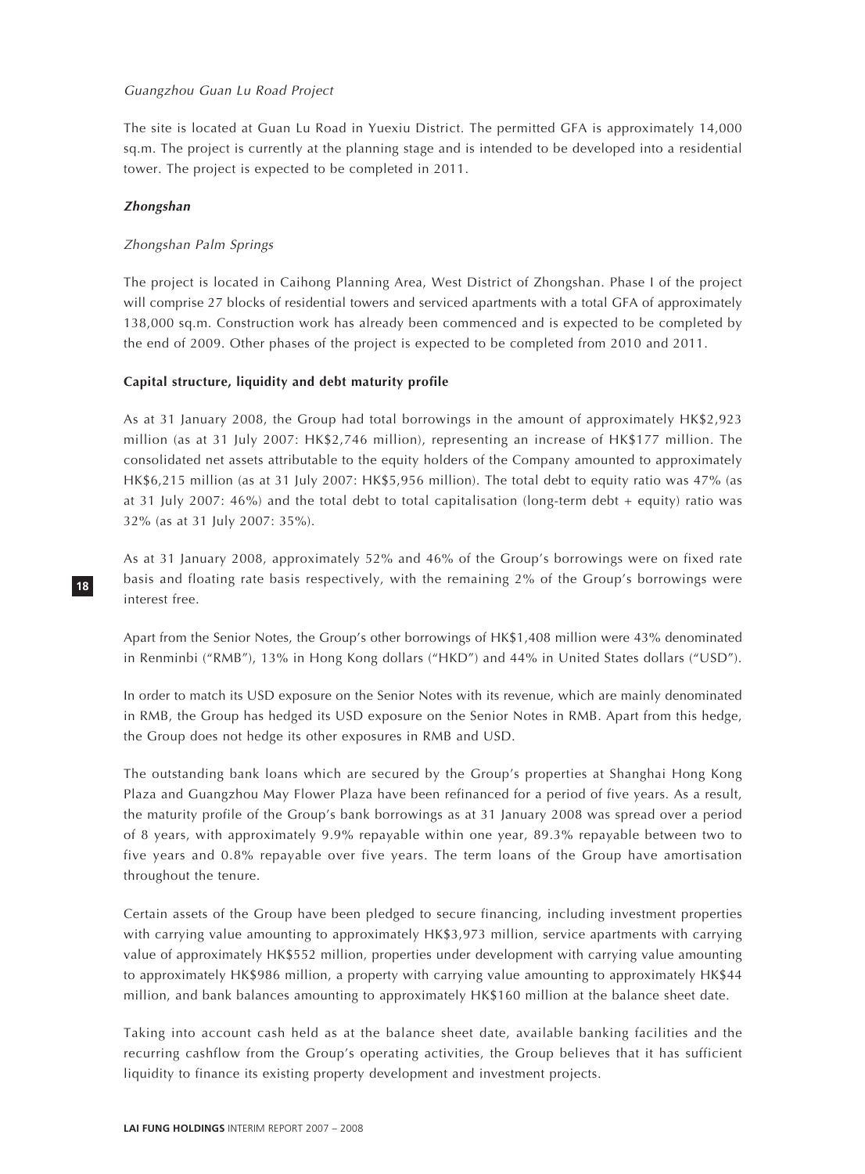## Guangzhou Guan Lu Road Project

The site is located at Guan Lu Road in Yuexiu District. The permitted GFA is approximately 14,000 sq.m. The project is currently at the planning stage and is intended to be developed into a residential tower. The project is expected to be completed in 2011.

#### **Zhongshan**

**18**

#### Zhongshan Palm Springs

The project is located in Caihong Planning Area, West District of Zhongshan. Phase I of the project will comprise 27 blocks of residential towers and serviced apartments with a total GFA of approximately 138,000 sq.m. Construction work has already been commenced and is expected to be completed by the end of 2009. Other phases of the project is expected to be completed from 2010 and 2011.

#### **Capital structure, liquidity and debt maturity profile**

As at 31 January 2008, the Group had total borrowings in the amount of approximately HK\$2,923 million (as at 31 July 2007: HK\$2,746 million), representing an increase of HK\$177 million. The consolidated net assets attributable to the equity holders of the Company amounted to approximately HK\$6,215 million (as at 31 July 2007: HK\$5,956 million). The total debt to equity ratio was 47% (as at 31 July 2007: 46%) and the total debt to total capitalisation (long-term debt + equity) ratio was 32% (as at 31 July 2007: 35%).

As at 31 January 2008, approximately 52% and 46% of the Group's borrowings were on fixed rate basis and floating rate basis respectively, with the remaining 2% of the Group's borrowings were interest free.

Apart from the Senior Notes, the Group's other borrowings of HK\$1,408 million were 43% denominated in Renminbi ("RMB"), 13% in Hong Kong dollars ("HKD") and 44% in United States dollars ("USD").

In order to match its USD exposure on the Senior Notes with its revenue, which are mainly denominated in RMB, the Group has hedged its USD exposure on the Senior Notes in RMB. Apart from this hedge, the Group does not hedge its other exposures in RMB and USD.

The outstanding bank loans which are secured by the Group's properties at Shanghai Hong Kong Plaza and Guangzhou May Flower Plaza have been refinanced for a period of five years. As a result, the maturity profile of the Group's bank borrowings as at 31 January 2008 was spread over a period of 8 years, with approximately 9.9% repayable within one year, 89.3% repayable between two to five years and 0.8% repayable over five years. The term loans of the Group have amortisation throughout the tenure.

Certain assets of the Group have been pledged to secure financing, including investment properties with carrying value amounting to approximately HK\$3,973 million, service apartments with carrying value of approximately HK\$552 million, properties under development with carrying value amounting to approximately HK\$986 million, a property with carrying value amounting to approximately HK\$44 million, and bank balances amounting to approximately HK\$160 million at the balance sheet date.

Taking into account cash held as at the balance sheet date, available banking facilities and the recurring cashflow from the Group's operating activities, the Group believes that it has sufficient liquidity to finance its existing property development and investment projects.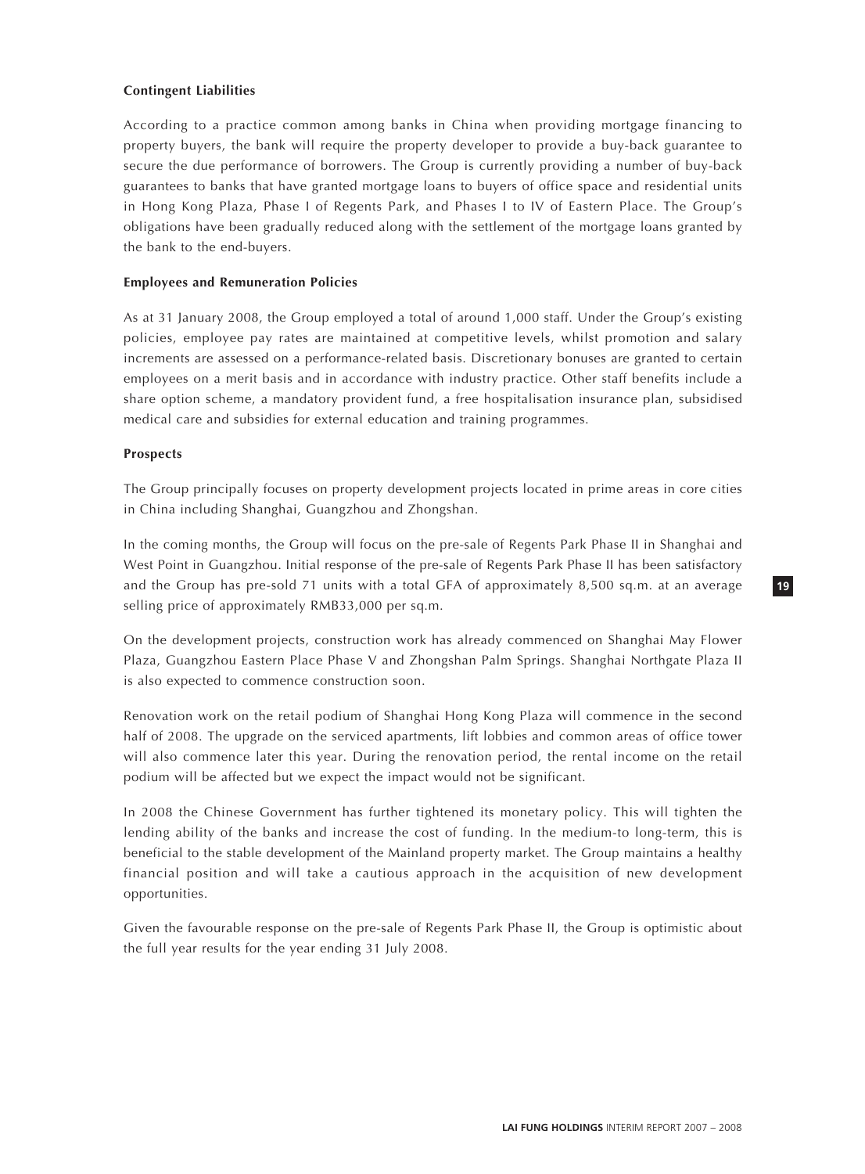# **Contingent Liabilities**

According to a practice common among banks in China when providing mortgage financing to property buyers, the bank will require the property developer to provide a buy-back guarantee to secure the due performance of borrowers. The Group is currently providing a number of buy-back guarantees to banks that have granted mortgage loans to buyers of office space and residential units in Hong Kong Plaza, Phase I of Regents Park, and Phases I to IV of Eastern Place. The Group's obligations have been gradually reduced along with the settlement of the mortgage loans granted by the bank to the end-buyers.

# **Employees and Remuneration Policies**

As at 31 January 2008, the Group employed a total of around 1,000 staff. Under the Group's existing policies, employee pay rates are maintained at competitive levels, whilst promotion and salary increments are assessed on a performance-related basis. Discretionary bonuses are granted to certain employees on a merit basis and in accordance with industry practice. Other staff benefits include a share option scheme, a mandatory provident fund, a free hospitalisation insurance plan, subsidised medical care and subsidies for external education and training programmes.

# **Prospects**

The Group principally focuses on property development projects located in prime areas in core cities in China including Shanghai, Guangzhou and Zhongshan.

In the coming months, the Group will focus on the pre-sale of Regents Park Phase II in Shanghai and West Point in Guangzhou. Initial response of the pre-sale of Regents Park Phase II has been satisfactory and the Group has pre-sold 71 units with a total GFA of approximately 8,500 sq.m. at an average selling price of approximately RMB33,000 per sq.m.

On the development projects, construction work has already commenced on Shanghai May Flower Plaza, Guangzhou Eastern Place Phase V and Zhongshan Palm Springs. Shanghai Northgate Plaza II is also expected to commence construction soon.

Renovation work on the retail podium of Shanghai Hong Kong Plaza will commence in the second half of 2008. The upgrade on the serviced apartments, lift lobbies and common areas of office tower will also commence later this year. During the renovation period, the rental income on the retail podium will be affected but we expect the impact would not be significant.

In 2008 the Chinese Government has further tightened its monetary policy. This will tighten the lending ability of the banks and increase the cost of funding. In the medium-to long-term, this is beneficial to the stable development of the Mainland property market. The Group maintains a healthy financial position and will take a cautious approach in the acquisition of new development opportunities.

Given the favourable response on the pre-sale of Regents Park Phase II, the Group is optimistic about the full year results for the year ending 31 July 2008.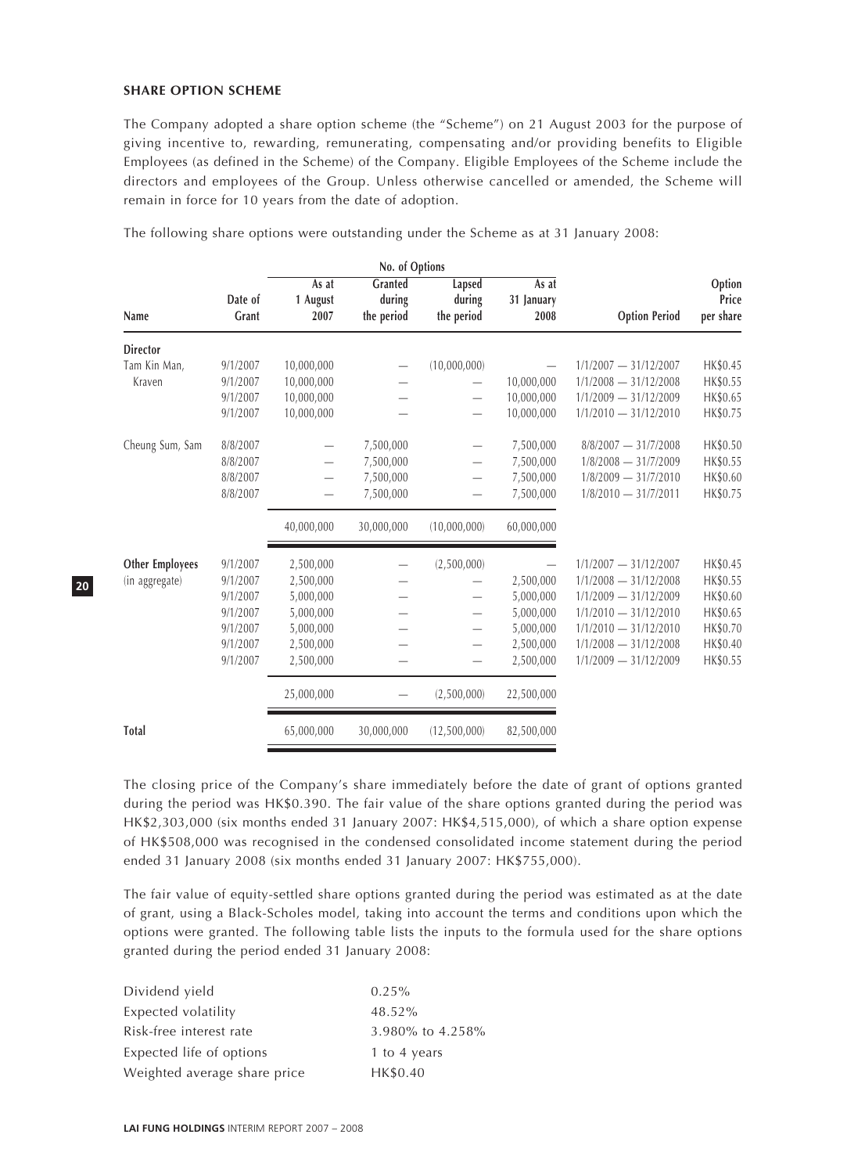#### **SHARE OPTION SCHEME**

The Company adopted a share option scheme (the "Scheme") on 21 August 2003 for the purpose of giving incentive to, rewarding, remunerating, compensating and/or providing benefits to Eligible Employees (as defined in the Scheme) of the Company. Eligible Employees of the Scheme include the directors and employees of the Group. Unless otherwise cancelled or amended, the Scheme will remain in force for 10 years from the date of adoption.

|                        | No. of Options   |                           |                                 |                                |                             |                         |                              |
|------------------------|------------------|---------------------------|---------------------------------|--------------------------------|-----------------------------|-------------------------|------------------------------|
| Name                   | Date of<br>Grant | As at<br>1 August<br>2007 | Granted<br>during<br>the period | Lapsed<br>during<br>the period | As at<br>31 January<br>2008 | <b>Option Period</b>    | Option<br>Price<br>per share |
| <b>Director</b>        |                  |                           |                                 |                                |                             |                         |                              |
| Tam Kin Man,           | 9/1/2007         | 10,000,000                |                                 | (10,000,000)                   |                             | $1/1/2007 - 31/12/2007$ | HK\$0.45                     |
| Kraven                 | 9/1/2007         | 10,000,000                |                                 |                                | 10,000,000                  | $1/1/2008 - 31/12/2008$ | HK\$0.55                     |
|                        | 9/1/2007         | 10,000,000                |                                 |                                | 10,000,000                  | $1/1/2009 - 31/12/2009$ | HK\$0.65                     |
|                        | 9/1/2007         | 10,000,000                |                                 | $\overline{\phantom{0}}$       | 10,000,000                  | $1/1/2010 - 31/12/2010$ | HK\$0.75                     |
| Cheung Sum, Sam        | 8/8/2007         | $\overline{\phantom{0}}$  | 7,500,000                       | $\qquad \qquad -$              | 7,500,000                   | $8/8/2007 - 31/7/2008$  | HK\$0.50                     |
|                        | 8/8/2007         |                           | 7,500,000                       |                                | 7,500,000                   | $1/8/2008 - 31/7/2009$  | HK\$0.55                     |
|                        | 8/8/2007         |                           | 7,500,000                       |                                | 7,500,000                   | $1/8/2009 - 31/7/2010$  | HK\$0.60                     |
|                        | 8/8/2007         |                           | 7,500,000                       |                                | 7,500,000                   | $1/8/2010 - 31/7/2011$  | HK\$0.75                     |
|                        |                  | 40,000,000                | 30,000,000                      | (10,000,000)                   | 60,000,000                  |                         |                              |
| <b>Other Employees</b> | 9/1/2007         | 2,500,000                 |                                 | (2,500,000)                    |                             | $1/1/2007 - 31/12/2007$ | HK\$0.45                     |
| (in aggregate)         | 9/1/2007         | 2,500,000                 |                                 |                                | 2,500,000                   | $1/1/2008 - 31/12/2008$ | HK\$0.55                     |
|                        | 9/1/2007         | 5,000,000                 |                                 | —                              | 5,000,000                   | $1/1/2009 - 31/12/2009$ | HK\$0.60                     |
|                        | 9/1/2007         | 5,000,000                 |                                 | $\overline{\phantom{0}}$       | 5,000,000                   | $1/1/2010 - 31/12/2010$ | HK\$0.65                     |
|                        | 9/1/2007         | 5,000,000                 |                                 |                                | 5,000,000                   | $1/1/2010 - 31/12/2010$ | HK\$0.70                     |
|                        | 9/1/2007         | 2,500,000                 |                                 |                                | 2,500,000                   | $1/1/2008 - 31/12/2008$ | HK\$0.40                     |
|                        | 9/1/2007         | 2,500,000                 |                                 |                                | 2,500,000                   | $1/1/2009 - 31/12/2009$ | HK\$0.55                     |
|                        |                  | 25,000,000                |                                 | (2,500,000)                    | 22,500,000                  |                         |                              |
| <b>Total</b>           |                  | 65,000,000                | 30,000,000                      | (12,500,000)                   | 82,500,000                  |                         |                              |

The following share options were outstanding under the Scheme as at 31 January 2008:

The closing price of the Company's share immediately before the date of grant of options granted during the period was HK\$0.390. The fair value of the share options granted during the period was HK\$2,303,000 (six months ended 31 January 2007: HK\$4,515,000), of which a share option expense of HK\$508,000 was recognised in the condensed consolidated income statement during the period ended 31 January 2008 (six months ended 31 January 2007: HK\$755,000).

The fair value of equity-settled share options granted during the period was estimated as at the date of grant, using a Black-Scholes model, taking into account the terms and conditions upon which the options were granted. The following table lists the inputs to the formula used for the share options granted during the period ended 31 January 2008:

| Dividend yield               | $0.25\%$         |
|------------------------------|------------------|
| Expected volatility          | 48.52%           |
| Risk-free interest rate      | 3.980% to 4.258% |
| Expected life of options     | 1 to 4 years     |
| Weighted average share price | HK\$0.40         |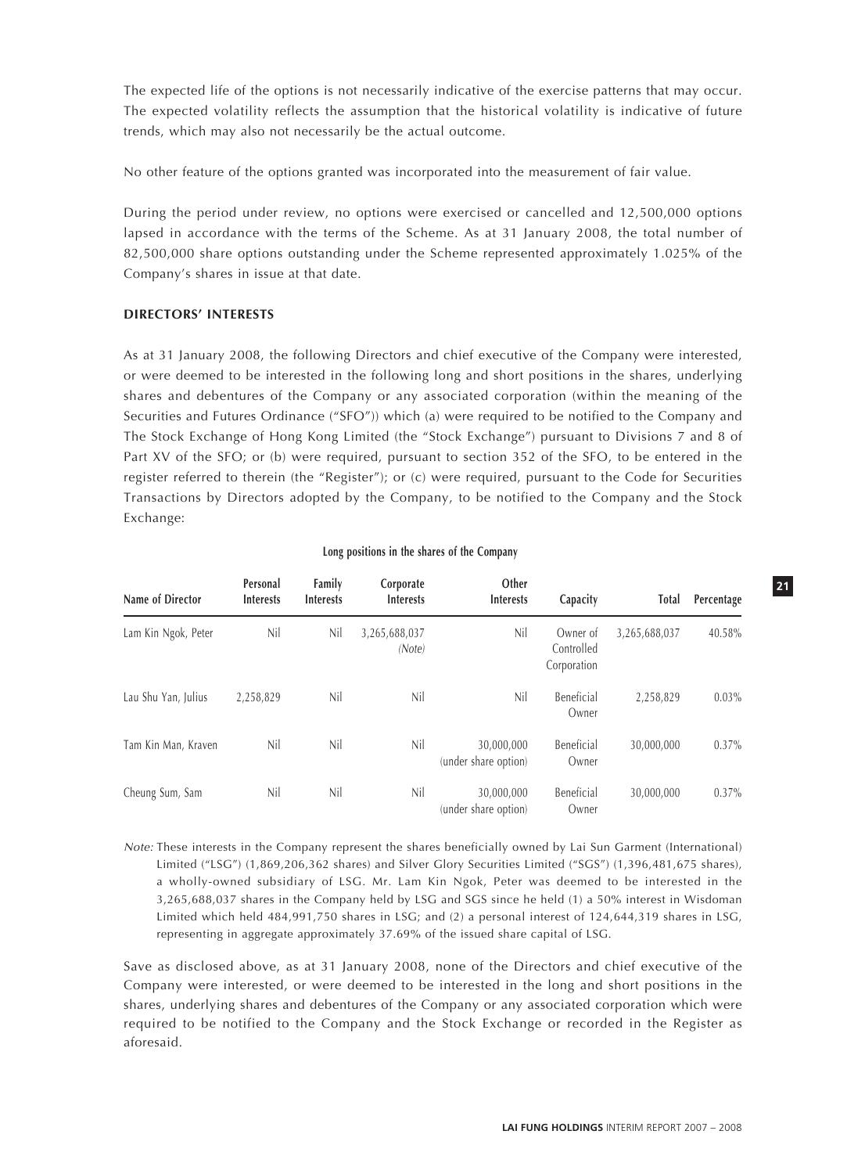The expected life of the options is not necessarily indicative of the exercise patterns that may occur. The expected volatility reflects the assumption that the historical volatility is indicative of future trends, which may also not necessarily be the actual outcome.

No other feature of the options granted was incorporated into the measurement of fair value.

During the period under review, no options were exercised or cancelled and 12,500,000 options lapsed in accordance with the terms of the Scheme. As at 31 January 2008, the total number of 82,500,000 share options outstanding under the Scheme represented approximately 1.025% of the Company's shares in issue at that date.

# **DIRECTORS' INTERESTS**

As at 31 January 2008, the following Directors and chief executive of the Company were interested, or were deemed to be interested in the following long and short positions in the shares, underlying shares and debentures of the Company or any associated corporation (within the meaning of the Securities and Futures Ordinance ("SFO")) which (a) were required to be notified to the Company and The Stock Exchange of Hong Kong Limited (the "Stock Exchange") pursuant to Divisions 7 and 8 of Part XV of the SFO; or (b) were required, pursuant to section 352 of the SFO, to be entered in the register referred to therein (the "Register"); or (c) were required, pursuant to the Code for Securities Transactions by Directors adopted by the Company, to be notified to the Company and the Stock Exchange:

| Name of Director    | Personal<br><b>Interests</b> | Family<br><b>Interests</b> | Corporate<br><b>Interests</b> | Other<br><b>Interests</b>          | Capacity                              | <b>Total</b>  | Percentage |
|---------------------|------------------------------|----------------------------|-------------------------------|------------------------------------|---------------------------------------|---------------|------------|
| Lam Kin Ngok, Peter | Nil                          | Nil                        | 3,265,688,037<br>(Note)       | Nil                                | Owner of<br>Controlled<br>Corporation | 3,265,688,037 | 40.58%     |
| Lau Shu Yan, Julius | 2,258,829                    | Nil                        | Nil                           | Nil                                | Beneficial<br>Owner                   | 2,258,829     | $0.03\%$   |
| Tam Kin Man, Kraven | Nil                          | Nil                        | Nil                           | 30,000,000<br>(under share option) | Beneficial<br>Owner                   | 30,000,000    | 0.37%      |
| Cheung Sum, Sam     | Nil                          | Nil                        | Nil                           | 30,000,000<br>(under share option) | Beneficial<br>Owner                   | 30,000,000    | $0.37\%$   |

# **Long positions in the shares of the Company**

Note: These interests in the Company represent the shares beneficially owned by Lai Sun Garment (International) Limited ("LSG") (1,869,206,362 shares) and Silver Glory Securities Limited ("SGS") (1,396,481,675 shares), a wholly-owned subsidiary of LSG. Mr. Lam Kin Ngok, Peter was deemed to be interested in the 3,265,688,037 shares in the Company held by LSG and SGS since he held (1) a 50% interest in Wisdoman Limited which held 484,991,750 shares in LSG; and (2) a personal interest of 124,644,319 shares in LSG, representing in aggregate approximately 37.69% of the issued share capital of LSG.

Save as disclosed above, as at 31 January 2008, none of the Directors and chief executive of the Company were interested, or were deemed to be interested in the long and short positions in the shares, underlying shares and debentures of the Company or any associated corporation which were required to be notified to the Company and the Stock Exchange or recorded in the Register as aforesaid.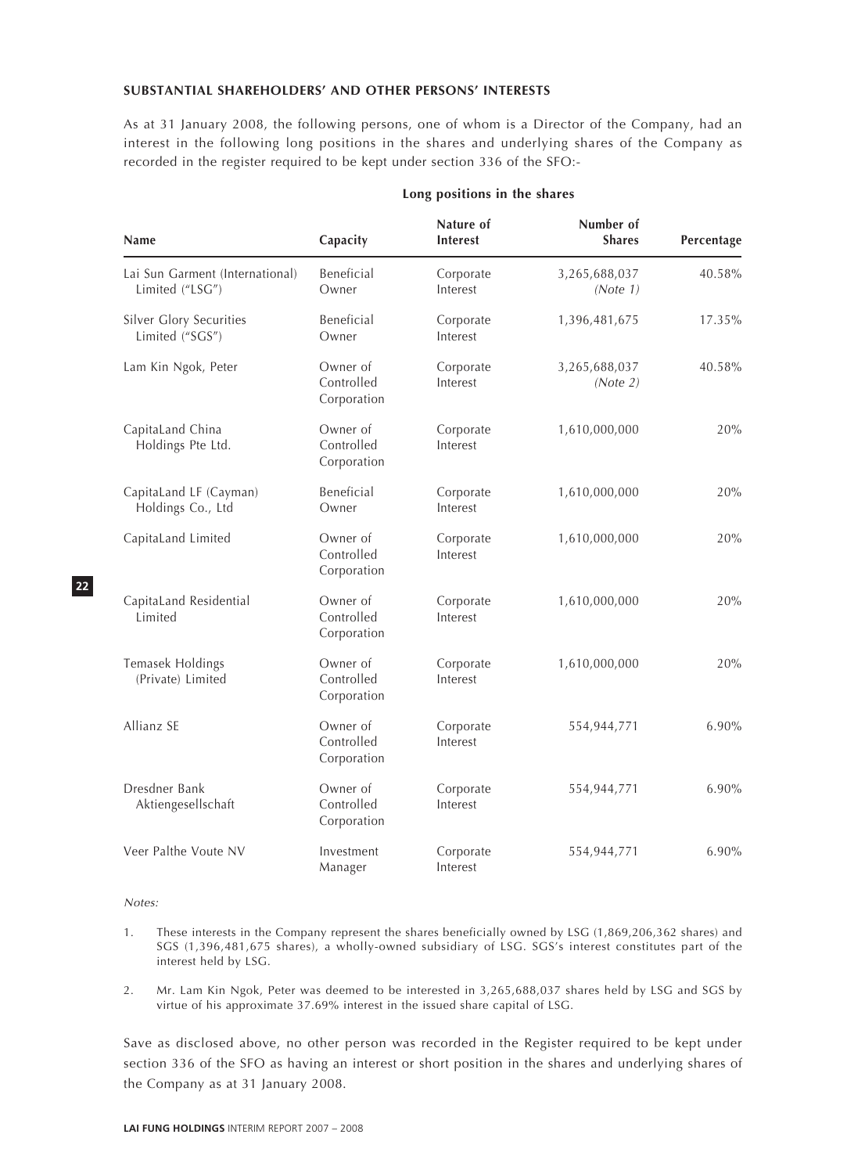#### **SUBSTANTIAL SHAREHOLDERS' AND OTHER PERSONS' INTERESTS**

As at 31 January 2008, the following persons, one of whom is a Director of the Company, had an interest in the following long positions in the shares and underlying shares of the Company as recorded in the register required to be kept under section 336 of the SFO:-

| Name                                               | Capacity                              | Nature of<br><b>Interest</b> | Number of<br><b>Shares</b> | Percentage |
|----------------------------------------------------|---------------------------------------|------------------------------|----------------------------|------------|
| Lai Sun Garment (International)<br>Limited ("LSG") | Beneficial<br>Owner                   | Corporate<br>Interest        | 3,265,688,037<br>(Note 1)  | 40.58%     |
| Silver Glory Securities<br>Limited ("SGS")         | Beneficial<br>Owner                   | Corporate<br>Interest        | 1,396,481,675              | 17.35%     |
| Lam Kin Ngok, Peter                                | Owner of<br>Controlled<br>Corporation | Corporate<br>Interest        | 3,265,688,037<br>(Note 2)  | 40.58%     |
| CapitaLand China<br>Holdings Pte Ltd.              | Owner of<br>Controlled<br>Corporation | Corporate<br>Interest        | 1,610,000,000              | 20%        |
| CapitaLand LF (Cayman)<br>Holdings Co., Ltd        | Beneficial<br>Owner                   | Corporate<br>Interest        | 1,610,000,000              | 20%        |
| CapitaLand Limited                                 | Owner of<br>Controlled<br>Corporation | Corporate<br>Interest        | 1,610,000,000              | 20%        |
| CapitaLand Residential<br>Limited                  | Owner of<br>Controlled<br>Corporation | Corporate<br>Interest        | 1,610,000,000              | 20%        |
| Temasek Holdings<br>(Private) Limited              | Owner of<br>Controlled<br>Corporation | Corporate<br>Interest        | 1,610,000,000              | 20%        |
| Allianz SE                                         | Owner of<br>Controlled<br>Corporation | Corporate<br>Interest        | 554,944,771                | $6.90\%$   |
| Dresdner Bank<br>Aktiengesellschaft                | Owner of<br>Controlled<br>Corporation | Corporate<br>Interest        | 554,944,771                | 6.90%      |
| Veer Palthe Voute NV                               | Investment<br>Manager                 | Corporate<br>Interest        | 554,944,771                | 6.90%      |

#### **Long positions in the shares**

Notes:

**22**

- 1. These interests in the Company represent the shares beneficially owned by LSG (1,869,206,362 shares) and SGS (1,396,481,675 shares), a wholly-owned subsidiary of LSG. SGS's interest constitutes part of the interest held by LSG.
- 2. Mr. Lam Kin Ngok, Peter was deemed to be interested in 3,265,688,037 shares held by LSG and SGS by virtue of his approximate 37.69% interest in the issued share capital of LSG.

Save as disclosed above, no other person was recorded in the Register required to be kept under section 336 of the SFO as having an interest or short position in the shares and underlying shares of the Company as at 31 January 2008.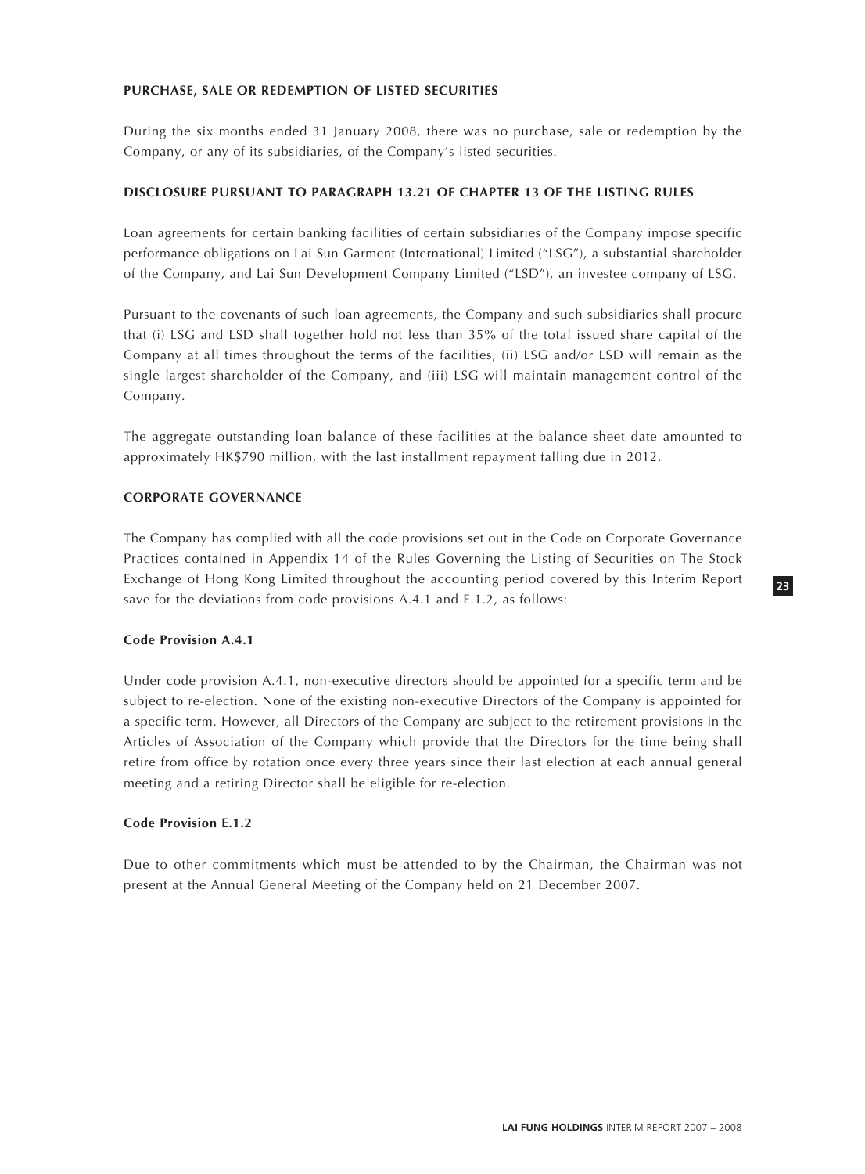## **PURCHASE, SALE OR REDEMPTION OF LISTED SECURITIES**

During the six months ended 31 January 2008, there was no purchase, sale or redemption by the Company, or any of its subsidiaries, of the Company's listed securities.

#### **DISCLOSURE PURSUANT TO PARAGRAPH 13.21 OF CHAPTER 13 OF THE LISTING RULES**

Loan agreements for certain banking facilities of certain subsidiaries of the Company impose specific performance obligations on Lai Sun Garment (International) Limited ("LSG"), a substantial shareholder of the Company, and Lai Sun Development Company Limited ("LSD"), an investee company of LSG.

Pursuant to the covenants of such loan agreements, the Company and such subsidiaries shall procure that (i) LSG and LSD shall together hold not less than 35% of the total issued share capital of the Company at all times throughout the terms of the facilities, (ii) LSG and/or LSD will remain as the single largest shareholder of the Company, and (iii) LSG will maintain management control of the Company.

The aggregate outstanding loan balance of these facilities at the balance sheet date amounted to approximately HK\$790 million, with the last installment repayment falling due in 2012.

#### **CORPORATE GOVERNANCE**

The Company has complied with all the code provisions set out in the Code on Corporate Governance Practices contained in Appendix 14 of the Rules Governing the Listing of Securities on The Stock Exchange of Hong Kong Limited throughout the accounting period covered by this Interim Report save for the deviations from code provisions A.4.1 and E.1.2, as follows:

#### **Code Provision A.4.1**

Under code provision A.4.1, non-executive directors should be appointed for a specific term and be subject to re-election. None of the existing non-executive Directors of the Company is appointed for a specific term. However, all Directors of the Company are subject to the retirement provisions in the Articles of Association of the Company which provide that the Directors for the time being shall retire from office by rotation once every three years since their last election at each annual general meeting and a retiring Director shall be eligible for re-election.

# **Code Provision E.1.2**

Due to other commitments which must be attended to by the Chairman, the Chairman was not present at the Annual General Meeting of the Company held on 21 December 2007.